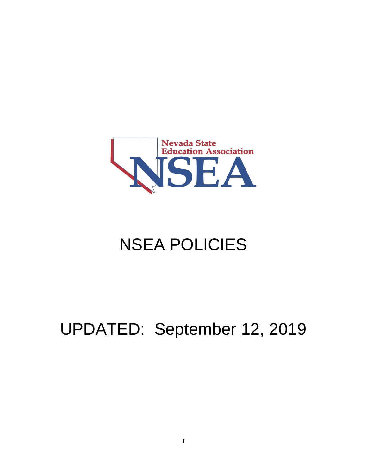

# NSEA POLICIES

## UPDATED: September 12, 2019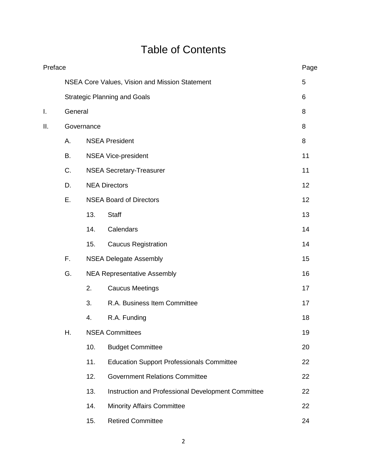## Table of Contents

|     | Preface                             |                                                |                                                    |    |  |  |
|-----|-------------------------------------|------------------------------------------------|----------------------------------------------------|----|--|--|
|     |                                     | NSEA Core Values, Vision and Mission Statement | 5                                                  |    |  |  |
|     | <b>Strategic Planning and Goals</b> | 6                                              |                                                    |    |  |  |
| I.  | General                             | 8                                              |                                                    |    |  |  |
| ΙΙ. | Governance                          |                                                |                                                    |    |  |  |
|     | Α.                                  |                                                | <b>NSEA President</b>                              |    |  |  |
|     | В.                                  | <b>NSEA Vice-president</b>                     |                                                    |    |  |  |
|     | C.                                  | <b>NSEA Secretary-Treasurer</b>                | 11                                                 |    |  |  |
|     | D.                                  | <b>NEA Directors</b>                           |                                                    |    |  |  |
|     | Ε.                                  |                                                | <b>NSEA Board of Directors</b>                     |    |  |  |
|     |                                     | 13.                                            | <b>Staff</b>                                       | 13 |  |  |
|     |                                     | 14.                                            | Calendars                                          | 14 |  |  |
|     |                                     | 15.                                            | <b>Caucus Registration</b>                         | 14 |  |  |
|     | F.                                  | <b>NSEA Delegate Assembly</b>                  |                                                    |    |  |  |
|     | G.                                  |                                                | <b>NEA Representative Assembly</b>                 |    |  |  |
|     |                                     | 2.                                             | <b>Caucus Meetings</b>                             | 17 |  |  |
|     |                                     | 3.                                             | R.A. Business Item Committee                       | 17 |  |  |
|     |                                     | 4.                                             | R.A. Funding                                       | 18 |  |  |
|     | Н.                                  | <b>NSEA Committees</b>                         |                                                    | 19 |  |  |
|     |                                     | 10.                                            | <b>Budget Committee</b>                            | 20 |  |  |
|     |                                     | 11.                                            | <b>Education Support Professionals Committee</b>   | 22 |  |  |
|     |                                     | 12.                                            | <b>Government Relations Committee</b>              | 22 |  |  |
|     |                                     | 13.                                            | Instruction and Professional Development Committee | 22 |  |  |
|     |                                     | 14.                                            | <b>Minority Affairs Committee</b>                  | 22 |  |  |
|     |                                     | 15.                                            | <b>Retired Committee</b>                           | 24 |  |  |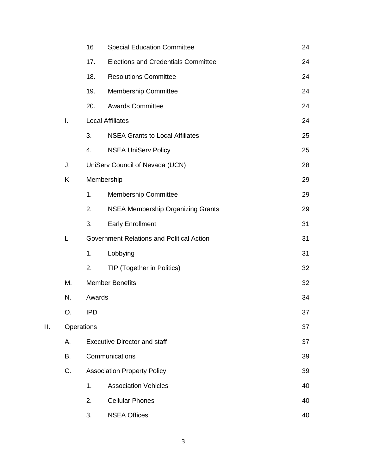|      |    | 16                                        | <b>Special Education Committee</b>         | 24 |  |
|------|----|-------------------------------------------|--------------------------------------------|----|--|
|      |    | 17.                                       | <b>Elections and Credentials Committee</b> | 24 |  |
|      |    | 18.                                       | <b>Resolutions Committee</b>               | 24 |  |
|      |    | 19.                                       | <b>Membership Committee</b>                | 24 |  |
|      |    | 20.                                       | <b>Awards Committee</b>                    | 24 |  |
|      | I. | <b>Local Affiliates</b>                   |                                            | 24 |  |
|      |    | 3.                                        | <b>NSEA Grants to Local Affiliates</b>     | 25 |  |
|      |    | 4.                                        | <b>NSEA UniServ Policy</b>                 | 25 |  |
|      | J. |                                           | UniServ Council of Nevada (UCN)            | 28 |  |
|      | Κ  | Membership                                |                                            | 29 |  |
|      |    | 1.                                        | <b>Membership Committee</b>                | 29 |  |
|      |    | 2.                                        | <b>NSEA Membership Organizing Grants</b>   | 29 |  |
|      |    | 3.                                        | <b>Early Enrollment</b>                    | 31 |  |
|      | Г  | Government Relations and Political Action |                                            | 31 |  |
|      |    | 1.                                        | Lobbying                                   | 31 |  |
|      |    | 2.                                        | TIP (Together in Politics)                 | 32 |  |
|      | М. | <b>Member Benefits</b>                    |                                            | 32 |  |
|      | N. | Awards                                    |                                            | 34 |  |
|      | О. | <b>IPD</b>                                |                                            | 37 |  |
| III. |    | Operations                                |                                            |    |  |
|      | А. | <b>Executive Director and staff</b>       |                                            |    |  |
|      | В. |                                           | Communications                             | 39 |  |
|      | C. |                                           | <b>Association Property Policy</b>         | 39 |  |
|      |    | 1.                                        | <b>Association Vehicles</b>                | 40 |  |
|      |    | 2.                                        | <b>Cellular Phones</b>                     | 40 |  |
|      |    | 3.                                        | <b>NSEA Offices</b>                        | 40 |  |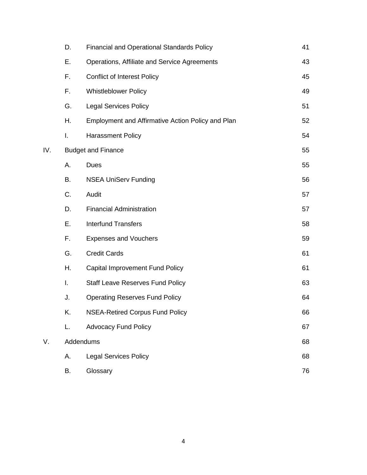|     | D.                        | <b>Financial and Operational Standards Policy</b> | 41 |
|-----|---------------------------|---------------------------------------------------|----|
|     | Е.                        | Operations, Affiliate and Service Agreements      | 43 |
|     | F.                        | <b>Conflict of Interest Policy</b>                | 45 |
|     | F.                        | <b>Whistleblower Policy</b>                       | 49 |
|     | G.                        | <b>Legal Services Policy</b>                      | 51 |
|     | Η.                        | Employment and Affirmative Action Policy and Plan | 52 |
|     | I.                        | <b>Harassment Policy</b>                          | 54 |
| IV. | <b>Budget and Finance</b> |                                                   |    |
|     | А.                        | Dues                                              | 55 |
|     | В.                        | <b>NSEA UniServ Funding</b>                       | 56 |
|     | C.                        | Audit                                             | 57 |
|     | D.                        | <b>Financial Administration</b>                   | 57 |
|     | Е.                        | <b>Interfund Transfers</b>                        | 58 |
|     | F.                        | <b>Expenses and Vouchers</b>                      | 59 |
|     | G.                        | <b>Credit Cards</b>                               | 61 |
|     | Η.                        | <b>Capital Improvement Fund Policy</b>            | 61 |
|     | I.                        | <b>Staff Leave Reserves Fund Policy</b>           | 63 |
|     | J.                        | <b>Operating Reserves Fund Policy</b>             | 64 |
|     | Κ.                        | <b>NSEA-Retired Corpus Fund Policy</b>            | 66 |
|     | L.                        | <b>Advocacy Fund Policy</b>                       | 67 |
| V.  | Addendums                 |                                                   |    |
|     | А.                        | <b>Legal Services Policy</b>                      | 68 |
|     | В.                        | Glossary                                          | 76 |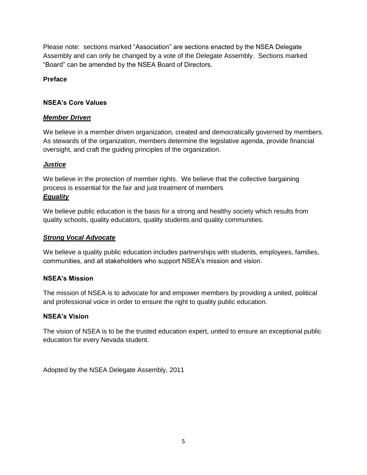Please note: sections marked "Association" are sections enacted by the NSEA Delegate Assembly and can only be changed by a vote of the Delegate Assembly. Sections marked "Board" can be amended by the NSEA Board of Directors.

## **Preface**

## **NSEA's Core Values**

## *Member Driven*

We believe in a member driven organization, created and democratically governed by members. As stewards of the organization, members determine the legislative agenda, provide financial oversight, and craft the guiding principles of the organization.

## *Justice*

We believe in the protection of member rights. We believe that the collective bargaining process is essential for the fair and just treatment of members *Equality*

We believe public education is the basis for a strong and healthy society which results from quality schools, quality educators, quality students and quality communities.

## *Strong Vocal Advocate*

We believe a quality public education includes partnerships with students, employees, families, communities, and all stakeholders who support NSEA's mission and vision.

## **NSEA's Mission**

The mission of NSEA is to advocate for and empower members by providing a united, political and professional voice in order to ensure the right to quality public education.

## **NSEA's Vision**

The vision of NSEA is to be the trusted education expert, united to ensure an exceptional public education for every Nevada student.

Adopted by the NSEA Delegate Assembly, 2011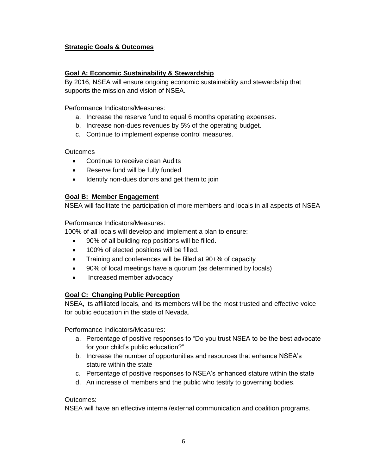## **Strategic Goals & Outcomes**

## **Goal A: Economic Sustainability & Stewardship**

By 2016, NSEA will ensure ongoing economic sustainability and stewardship that supports the mission and vision of NSEA.

#### Performance Indicators/Measures:

- a. Increase the reserve fund to equal 6 months operating expenses.
- b. Increase non-dues revenues by 5% of the operating budget.
- c. Continue to implement expense control measures.

#### **Outcomes**

- Continue to receive clean Audits
- Reserve fund will be fully funded
- Identify non-dues donors and get them to join

#### **Goal B: Member Engagement**

NSEA will facilitate the participation of more members and locals in all aspects of NSEA

#### Performance Indicators/Measures:

100% of all locals will develop and implement a plan to ensure:

- 90% of all building rep positions will be filled.
- 100% of elected positions will be filled.
- Training and conferences will be filled at 90+% of capacity
- 90% of local meetings have a quorum (as determined by locals)
- Increased member advocacy

#### **Goal C: Changing Public Perception**

NSEA, its affiliated locals, and its members will be the most trusted and effective voice for public education in the state of Nevada.

Performance Indicators/Measures:

- a. Percentage of positive responses to "Do you trust NSEA to be the best advocate for your child's public education?"
- b. Increase the number of opportunities and resources that enhance NSEA's stature within the state
- c. Percentage of positive responses to NSEA's enhanced stature within the state
- d. An increase of members and the public who testify to governing bodies.

### Outcomes:

NSEA will have an effective internal/external communication and coalition programs.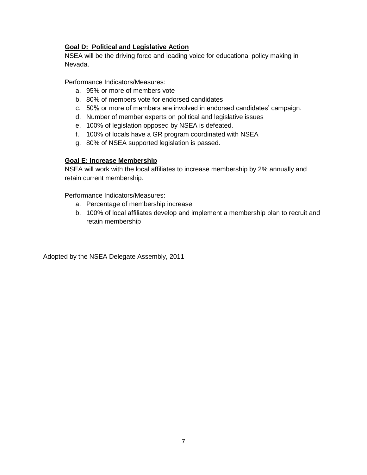## **Goal D: Political and Legislative Action**

NSEA will be the driving force and leading voice for educational policy making in Nevada.

Performance Indicators/Measures:

- a. 95% or more of members vote
- b. 80% of members vote for endorsed candidates
- c. 50% or more of members are involved in endorsed candidates' campaign.
- d. Number of member experts on political and legislative issues
- e. 100% of legislation opposed by NSEA is defeated.
- f. 100% of locals have a GR program coordinated with NSEA
- g. 80% of NSEA supported legislation is passed.

## **Goal E: Increase Membership**

NSEA will work with the local affiliates to increase membership by 2% annually and retain current membership.

Performance Indicators/Measures:

- a. Percentage of membership increase
- b. 100% of local affiliates develop and implement a membership plan to recruit and retain membership

Adopted by the NSEA Delegate Assembly, 2011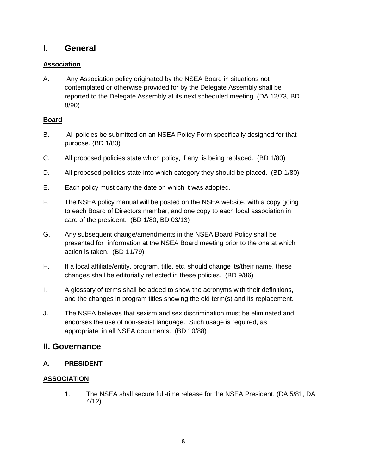## **I. General**

## **Association**

A. Any Association policy originated by the NSEA Board in situations not contemplated or otherwise provided for by the Delegate Assembly shall be reported to the Delegate Assembly at its next scheduled meeting. (DA 12/73, BD 8/90)

## **Board**

- B. All policies be submitted on an NSEA Policy Form specifically designed for that purpose. (BD 1/80)
- C. All proposed policies state which policy, if any, is being replaced. (BD 1/80)
- D*.* All proposed policies state into which category they should be placed. (BD 1/80)
- E. Each policy must carry the date on which it was adopted.
- F. The NSEA policy manual will be posted on the NSEA website, with a copy going to each Board of Directors member, and one copy to each local association in care of the president. (BD 1/80, BD 03/13)
- G. Any subsequent change/amendments in the NSEA Board Policy shall be presented for information at the NSEA Board meeting prior to the one at which action is taken. (BD 11/79)
- H*.* If a local affiliate/entity, program, title, etc. should change its/their name, these changes shall be editorially reflected in these policies. (BD 9/86)
- I. A glossary of terms shall be added to show the acronyms with their definitions, and the changes in program titles showing the old term(s) and its replacement.
- J. The NSEA believes that sexism and sex discrimination must be eliminated and endorses the use of non-sexist language. Such usage is required, as appropriate, in all NSEA documents. (BD 10/88)

## **II. Governance**

## **A. PRESIDENT**

## **ASSOCIATION**

1. The NSEA shall secure full-time release for the NSEA President. (DA 5/81, DA 4/12)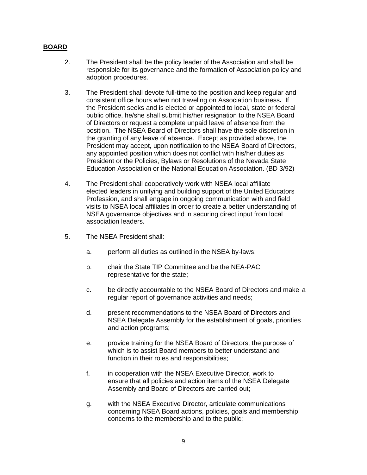- 2. The President shall be the policy leader of the Association and shall be responsible for its governance and the formation of Association policy and adoption procedures.
- 3. The President shall devote full-time to the position and keep regular and consistent office hours when not traveling on Association business*.* If the President seeks and is elected or appointed to local, state or federal public office, he/she shall submit his/her resignation to the NSEA Board of Directors or request a complete unpaid leave of absence from the position. The NSEA Board of Directors shall have the sole discretion in the granting of any leave of absence. Except as provided above, the President may accept, upon notification to the NSEA Board of Directors, any appointed position which does not conflict with his/her duties as President or the Policies, Bylaws or Resolutions of the Nevada State Education Association or the National Education Association. (BD 3/92)
- 4. The President shall cooperatively work with NSEA local affiliate elected leaders in unifying and building support of the United Educators Profession, and shall engage in ongoing communication with and field visits to NSEA local affiliates in order to create a better understanding of NSEA governance objectives and in securing direct input from local association leaders.
- 5. The NSEA President shall:
	- a. perform all duties as outlined in the NSEA by-laws;
	- b. chair the State TIP Committee and be the NEA-PAC representative for the state;
	- c. be directly accountable to the NSEA Board of Directors and make a regular report of governance activities and needs;
	- d. present recommendations to the NSEA Board of Directors and NSEA Delegate Assembly for the establishment of goals, priorities and action programs;
	- e. provide training for the NSEA Board of Directors, the purpose of which is to assist Board members to better understand and function in their roles and responsibilities;
	- f. in cooperation with the NSEA Executive Director, work to ensure that all policies and action items of the NSEA Delegate Assembly and Board of Directors are carried out;
	- g. with the NSEA Executive Director, articulate communications concerning NSEA Board actions, policies, goals and membership concerns to the membership and to the public;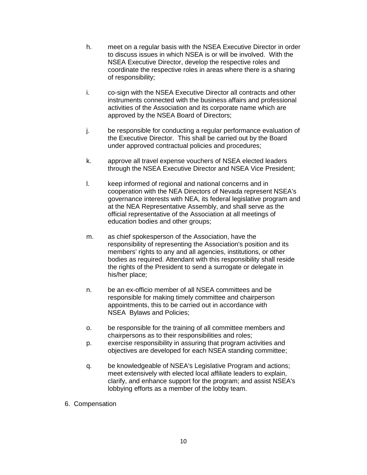- h. meet on a regular basis with the NSEA Executive Director in order to discuss issues in which NSEA is or will be involved. With the NSEA Executive Director, develop the respective roles and coordinate the respective roles in areas where there is a sharing of responsibility;
- i. co-sign with the NSEA Executive Director all contracts and other instruments connected with the business affairs and professional activities of the Association and its corporate name which are approved by the NSEA Board of Directors;
- j. be responsible for conducting a regular performance evaluation of the Executive Director. This shall be carried out by the Board under approved contractual policies and procedures;
- k. approve all travel expense vouchers of NSEA elected leaders through the NSEA Executive Director and NSEA Vice President;
- l. keep informed of regional and national concerns and in cooperation with the NEA Directors of Nevada represent NSEA's governance interests with NEA, its federal legislative program and at the NEA Representative Assembly, and shall serve as the official representative of the Association at all meetings of education bodies and other groups;
- m. as chief spokesperson of the Association, have the responsibility of representing the Association's position and its members' rights to any and all agencies, institutions, or other bodies as required. Attendant with this responsibility shall reside the rights of the President to send a surrogate or delegate in his/her place;
- n. be an ex-officio member of all NSEA committees and be responsible for making timely committee and chairperson appointments, this to be carried out in accordance with NSEA Bylaws and Policies;
- o. be responsible for the training of all committee members and chairpersons as to their responsibilities and roles;
- p. exercise responsibility in assuring that program activities and objectives are developed for each NSEA standing committee;
- q. be knowledgeable of NSEA's Legislative Program and actions; meet extensively with elected local affiliate leaders to explain, clarify, and enhance support for the program; and assist NSEA's lobbying efforts as a member of the lobby team.
- 6. Compensation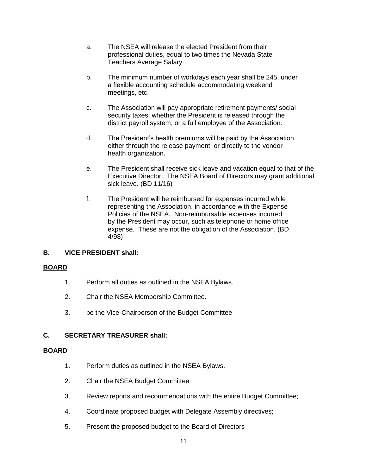- a. The NSEA will release the elected President from their professional duties, equal to two times the Nevada State Teachers Average Salary.
- b. The minimum number of workdays each year shall be 245, under a flexible accounting schedule accommodating weekend meetings, etc.
- c. The Association will pay appropriate retirement payments/ social security taxes, whether the President is released through the district payroll system, or a full employee of the Association.
- d. The President's health premiums will be paid by the Association, either through the release payment, or directly to the vendor health organization.
- e. The President shall receive sick leave and vacation equal to that of the Executive Director. The NSEA Board of Directors may grant additional sick leave. (BD 11/16)
- f. The President will be reimbursed for expenses incurred while representing the Association, in accordance with the Expense Policies of the NSEA. Non-reimbursable expenses incurred by the President may occur, such as telephone or home office expense. These are not the obligation of the Association. (BD 4/98)

## **B. VICE PRESIDENT shall:**

## **BOARD**

- 1. Perform all duties as outlined in the NSEA Bylaws.
- 2. Chair the NSEA Membership Committee.
- 3. be the Vice-Chairperson of the Budget Committee

## **C. SECRETARY TREASURER shall:**

- 1. Perform duties as outlined in the NSEA Bylaws.
- 2. Chair the NSEA Budget Committee
- 3. Review reports and recommendations with the entire Budget Committee;
- 4. Coordinate proposed budget with Delegate Assembly directives;
- 5. Present the proposed budget to the Board of Directors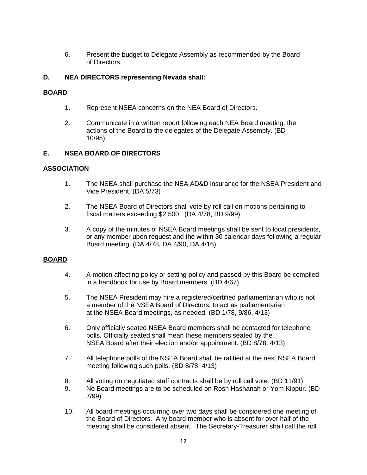6. Present the budget to Delegate Assembly as recommended by the Board of Directors;

### **D. NEA DIRECTORS representing Nevada shall:**

#### **BOARD**

- 1. Represent NSEA concerns on the NEA Board of Directors.
- 2. Communicate in a written report following each NEA Board meeting, the actions of the Board to the delegates of the Delegate Assembly. (BD 10/95)

## **E. NSEA BOARD OF DIRECTORS**

#### **ASSOCIATION**

- 1. The NSEA shall purchase the NEA AD&D insurance for the NSEA President and Vice President. (DA 5/73)
- 2. The NSEA Board of Directors shall vote by roll call on motions pertaining to fiscal matters exceeding \$2,500. (DA 4/78, BD 9/99)
- 3. A copy of the minutes of NSEA Board meetings shall be sent to local presidents, or any member upon request and the within 30 calendar days following a regular Board meeting. (DA 4/78, DA 4/90, DA 4/16)

- 4. A motion affecting policy or setting policy and passed by this Board be compiled in a handbook for use by Board members. (BD 4/67)
- 5. The NSEA President may hire a registered/certified parliamentarian who is not a member of the NSEA Board of Directors, to act as parliamentarian at the NSEA Board meetings, as needed. (BD 1/78, 9/86, 4/13)
- 6. Only officially seated NSEA Board members shall be contacted for telephone polls. Officially seated shall mean these members seated by the NSEA Board after their election and/or appointment. (BD 8/78, 4/13)
- 7. All telephone polls of the NSEA Board shall be ratified at the next NSEA Board meeting following such polls. (BD 8/78, 4/13)
- 8. All voting on negotiated staff contracts shall be by roll call vote. (BD 11/91)
- 9. No Board meetings are to be scheduled on Rosh Hashanah or Yom Kippur. (BD 7/99)
- 10. All board meetings occurring over two days shall be considered one meeting of the Board of Directors. Any board member who is absent for over half of the meeting shall be considered absent. The Secretary-Treasurer shall call the roll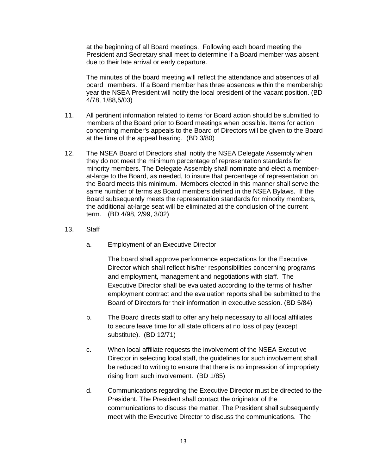at the beginning of all Board meetings. Following each board meeting the President and Secretary shall meet to determine if a Board member was absent due to their late arrival or early departure.

The minutes of the board meeting will reflect the attendance and absences of all board members. If a Board member has three absences within the membership year the NSEA President will notify the local president of the vacant position. (BD 4/78, 1/88,5/03)

- 11. All pertinent information related to items for Board action should be submitted to members of the Board prior to Board meetings when possible. Items for action concerning member's appeals to the Board of Directors will be given to the Board at the time of the appeal hearing. (BD 3/80)
- 12. The NSEA Board of Directors shall notify the NSEA Delegate Assembly when they do not meet the minimum percentage of representation standards for minority members. The Delegate Assembly shall nominate and elect a memberat-large to the Board, as needed, to insure that percentage of representation on the Board meets this minimum. Members elected in this manner shall serve the same number of terms as Board members defined in the NSEA Bylaws. If the Board subsequently meets the representation standards for minority members, the additional at-large seat will be eliminated at the conclusion of the current term. (BD 4/98, 2/99, 3/02)
- 13. Staff
	- a. Employment of an Executive Director

 The board shall approve performance expectations for the Executive Director which shall reflect his/her responsibilities concerning programs and employment, management and negotiations with staff. The Executive Director shall be evaluated according to the terms of his/her employment contract and the evaluation reports shall be submitted to the Board of Directors for their information in executive session. (BD 5/84)

- b. The Board directs staff to offer any help necessary to all local affiliates to secure leave time for all state officers at no loss of pay (except substitute). (BD 12/71)
- c. When local affiliate requests the involvement of the NSEA Executive Director in selecting local staff, the guidelines for such involvement shall be reduced to writing to ensure that there is no impression of impropriety rising from such involvement. (BD 1/85)
- d. Communications regarding the Executive Director must be directed to the President. The President shall contact the originator of the communications to discuss the matter. The President shall subsequently meet with the Executive Director to discuss the communications. The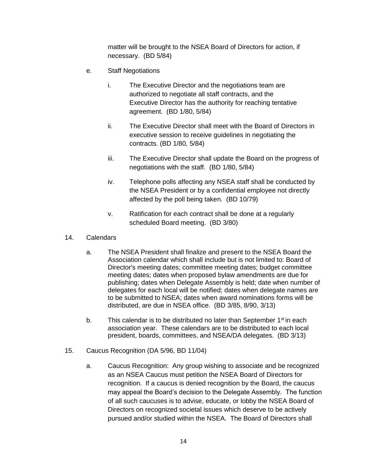matter will be brought to the NSEA Board of Directors for action, if necessary. (BD 5/84)

- e. Staff Negotiations
	- i. The Executive Director and the negotiations team are authorized to negotiate all staff contracts, and the Executive Director has the authority for reaching tentative agreement. (BD 1/80, 5/84)
	- ii. The Executive Director shall meet with the Board of Directors in executive session to receive guidelines in negotiating the contracts. (BD 1/80, 5/84)
	- iii. The Executive Director shall update the Board on the progress of negotiations with the staff. (BD 1/80, 5/84)
	- iv. Telephone polls affecting any NSEA staff shall be conducted by the NSEA President or by a confidential employee not directly affected by the poll being taken. (BD 10/79)
	- v. Ratification for each contract shall be done at a regularly scheduled Board meeting. (BD 3/80)
- 14. Calendars
	- a. The NSEA President shall finalize and present to the NSEA Board the Association calendar which shall include but is not limited to: Board of Director's meeting dates; committee meeting dates; budget committee meeting dates; dates when proposed bylaw amendments are due for publishing; dates when Delegate Assembly is held; date when number of delegates for each local will be notified; dates when delegate names are to be submitted to NSEA; dates when award nominations forms will be distributed, are due in NSEA office. (BD 3/85, 8/90, 3/13)
	- b. This calendar is to be distributed no later than September  $1<sup>st</sup>$  in each association year. These calendars are to be distributed to each local president, boards, committees, and NSEA/DA delegates. (BD 3/13)
- 15. Caucus Recognition (DA 5/96, BD 11/04)
	- a. Caucus Recognition: Any group wishing to associate and be recognized as an NSEA Caucus must petition the NSEA Board of Directors for recognition. If a caucus is denied recognition by the Board, the caucus may appeal the Board's decision to the Delegate Assembly. The function of all such caucuses is to advise, educate, or lobby the NSEA Board of Directors on recognized societal issues which deserve to be actively pursued and/or studied within the NSEA. The Board of Directors shall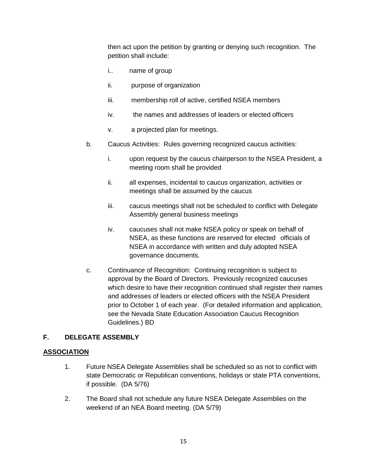then act upon the petition by granting or denying such recognition. The petition shall include:

- i.. name of group
- ii. purpose of organization
- iii. membership roll of active, certified NSEA members
- iv. the names and addresses of leaders or elected officers
- v. a projected plan for meetings.
- b. Caucus Activities: Rules governing recognized caucus activities:
	- i. upon request by the caucus chairperson to the NSEA President, a meeting room shall be provided
	- ii. all expenses, incidental to caucus organization, activities or meetings shall be assumed by the caucus
	- iii. caucus meetings shall not be scheduled to conflict with Delegate Assembly general business meetings
	- iv. caucuses shall not make NSEA policy or speak on behalf of NSEA, as these functions are reserved for elected officials of NSEA in accordance with written and duly adopted NSEA governance documents.
- c. Continuance of Recognition: Continuing recognition is subject to approval by the Board of Directors. Previously recognized caucuses which desire to have their recognition continued shall register their names and addresses of leaders or elected officers with the NSEA President prior to October 1 of each year. (For detailed information and application, see the Nevada State Education Association Caucus Recognition Guidelines.) BD

## **F. DELEGATE ASSEMBLY**

## **ASSOCIATION**

- 1. Future NSEA Delegate Assemblies shall be scheduled so as not to conflict with state Democratic or Republican conventions, holidays or state PTA conventions, if possible. (DA 5/76)
- 2. The Board shall not schedule any future NSEA Delegate Assemblies on the weekend of an NEA Board meeting. (DA 5/79)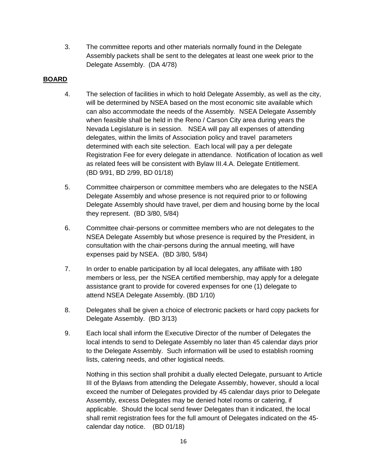3. The committee reports and other materials normally found in the Delegate Assembly packets shall be sent to the delegates at least one week prior to the Delegate Assembly. (DA 4/78)

## **BOARD**

- 4. The selection of facilities in which to hold Delegate Assembly, as well as the city, will be determined by NSEA based on the most economic site available which can also accommodate the needs of the Assembly. NSEA Delegate Assembly when feasible shall be held in the Reno / Carson City area during years the Nevada Legislature is in session. NSEA will pay all expenses of attending delegates, within the limits of Association policy and travel parameters determined with each site selection. Each local will pay a per delegate Registration Fee for every delegate in attendance. Notification of location as well as related fees will be consistent with Bylaw III.4.A. Delegate Entitlement. (BD 9/91, BD 2/99, BD 01/18)
- 5. Committee chairperson or committee members who are delegates to the NSEA Delegate Assembly and whose presence is not required prior to or following Delegate Assembly should have travel, per diem and housing borne by the local they represent. (BD 3/80, 5/84)
- 6. Committee chair-persons or committee members who are not delegates to the NSEA Delegate Assembly but whose presence is required by the President, in consultation with the chair-persons during the annual meeting, will have expenses paid by NSEA. (BD 3/80, 5/84)
- 7. In order to enable participation by all local delegates, any affiliate with 180 members or less, per the NSEA certified membership, may apply for a delegate assistance grant to provide for covered expenses for one (1) delegate to attend NSEA Delegate Assembly. (BD 1/10)
- 8. Delegates shall be given a choice of electronic packets or hard copy packets for Delegate Assembly. (BD 3/13)
- 9. Each local shall inform the Executive Director of the number of Delegates the local intends to send to Delegate Assembly no later than 45 calendar days prior to the Delegate Assembly. Such information will be used to establish rooming lists, catering needs, and other logistical needs.

Nothing in this section shall prohibit a dually elected Delegate, pursuant to Article III of the Bylaws from attending the Delegate Assembly, however, should a local exceed the number of Delegates provided by 45 calendar days prior to Delegate Assembly, excess Delegates may be denied hotel rooms or catering, if applicable. Should the local send fewer Delegates than it indicated, the local shall remit registration fees for the full amount of Delegates indicated on the 45 calendar day notice. (BD 01/18)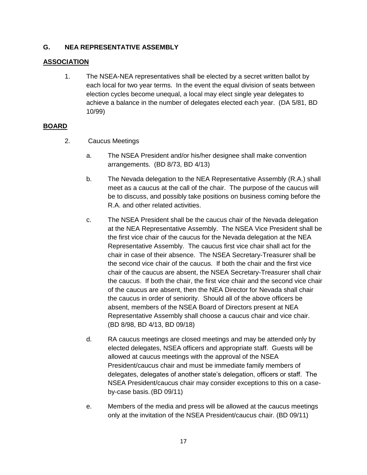## **G. NEA REPRESENTATIVE ASSEMBLY**

## **ASSOCIATION**

1. The NSEA-NEA representatives shall be elected by a secret written ballot by each local for two year terms. In the event the equal division of seats between election cycles become unequal, a local may elect single year delegates to achieve a balance in the number of delegates elected each year. (DA 5/81, BD 10/99)

- 2. Caucus Meetings
	- a. The NSEA President and/or his/her designee shall make convention arrangements. (BD 8/73, BD 4/13)
	- b. The Nevada delegation to the NEA Representative Assembly (R.A.) shall meet as a caucus at the call of the chair. The purpose of the caucus will be to discuss, and possibly take positions on business coming before the R.A. and other related activities.
	- c. The NSEA President shall be the caucus chair of the Nevada delegation at the NEA Representative Assembly. The NSEA Vice President shall be the first vice chair of the caucus for the Nevada delegation at the NEA Representative Assembly. The caucus first vice chair shall act for the chair in case of their absence. The NSEA Secretary-Treasurer shall be the second vice chair of the caucus. If both the chair and the first vice chair of the caucus are absent, the NSEA Secretary-Treasurer shall chair the caucus. If both the chair, the first vice chair and the second vice chair of the caucus are absent, then the NEA Director for Nevada shall chair the caucus in order of seniority. Should all of the above officers be absent, members of the NSEA Board of Directors present at NEA Representative Assembly shall choose a caucus chair and vice chair. (BD 8/98, BD 4/13, BD 09/18)
	- d. RA caucus meetings are closed meetings and may be attended only by elected delegates, NSEA officers and appropriate staff. Guests will be allowed at caucus meetings with the approval of the NSEA President/caucus chair and must be immediate family members of delegates, delegates of another state's delegation, officers or staff. The NSEA President/caucus chair may consider exceptions to this on a caseby-case basis.(BD 09/11)
	- e. Members of the media and press will be allowed at the caucus meetings only at the invitation of the NSEA President/caucus chair. (BD 09/11)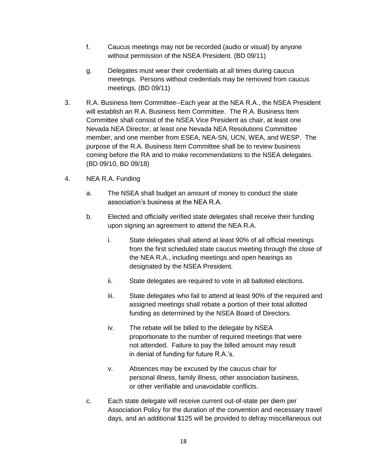- f. Caucus meetings may not be recorded (audio or visual) by anyone without permission of the NSEA President. (BD 09/11)
- g. Delegates must wear their credentials at all times during caucus meetings. Persons without credentials may be removed from caucus meetings. (BD 09/11)
- 3. R.A. Business Item Committee--Each year at the NEA R.A., the NSEA President will establish an R.A. Business Item Committee. The R.A. Business Item Committee shall consist of the NSEA Vice President as chair, at least one Nevada NEA Director, at least one Nevada NEA Resolutions Committee member, and one member from ESEA, NEA-SN, UCN, WEA, and WESP. The purpose of the R.A. Business Item Committee shall be to review business coming before the RA and to make recommendations to the NSEA delegates. (BD 09/10, BD 09/18)
- 4. NEA R.A. Funding
	- a. The NSEA shall budget an amount of money to conduct the state association's business at the NEA R.A.
	- b. Elected and officially verified state delegates shall receive their funding upon signing an agreement to attend the NEA R.A.
		- i. State delegates shall attend at least 90% of all official meetings from the first scheduled state caucus meeting through the close of the NEA R.A., including meetings and open hearings as designated by the NSEA President.
		- ii. State delegates are required to vote in all balloted elections.
		- iii. State delegates who fail to attend at least 90% of the required and assigned meetings shall rebate a portion of their total allotted funding as determined by the NSEA Board of Directors.
		- iv. The rebate will be billed to the delegate by NSEA proportionate to the number of required meetings that were not attended. Failure to pay the billed amount may result in denial of funding for future R.A.'s.
		- v. Absences may be excused by the caucus chair for personal illness, family illness, other association business, or other verifiable and unavoidable conflicts.
	- c. Each state delegate will receive current out-of-state per diem per Association Policy for the duration of the convention and necessary travel days, and an additional \$125 will be provided to defray miscellaneous out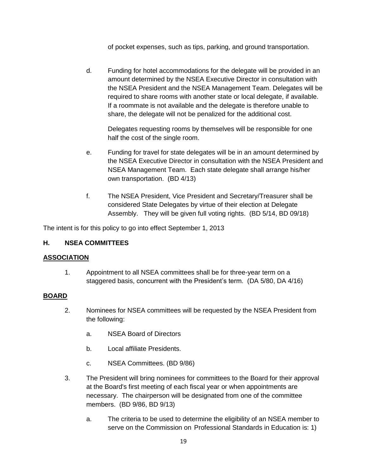of pocket expenses, such as tips, parking, and ground transportation.

d. Funding for hotel accommodations for the delegate will be provided in an amount determined by the NSEA Executive Director in consultation with the NSEA President and the NSEA Management Team. Delegates will be required to share rooms with another state or local delegate, if available. If a roommate is not available and the delegate is therefore unable to share, the delegate will not be penalized for the additional cost.

Delegates requesting rooms by themselves will be responsible for one half the cost of the single room.

- e. Funding for travel for state delegates will be in an amount determined by the NSEA Executive Director in consultation with the NSEA President and NSEA Management Team. Each state delegate shall arrange his/her own transportation. (BD 4/13)
- f. The NSEA President, Vice President and Secretary/Treasurer shall be considered State Delegates by virtue of their election at Delegate Assembly. They will be given full voting rights. (BD 5/14, BD 09/18)

The intent is for this policy to go into effect September 1, 2013

## **H. NSEA COMMITTEES**

## **ASSOCIATION**

1. Appointment to all NSEA committees shall be for three-year term on a staggered basis, concurrent with the President's term. (DA 5/80, DA 4/16)

- 2. Nominees for NSEA committees will be requested by the NSEA President from the following:
	- a. NSEA Board of Directors
	- b. Local affiliate Presidents.
	- c. NSEA Committees. (BD 9/86)
- 3. The President will bring nominees for committees to the Board for their approval at the Board's first meeting of each fiscal year or when appointments are necessary. The chairperson will be designated from one of the committee members. (BD 9/86, BD 9/13)
	- a. The criteria to be used to determine the eligibility of an NSEA member to serve on the Commission on Professional Standards in Education is: 1)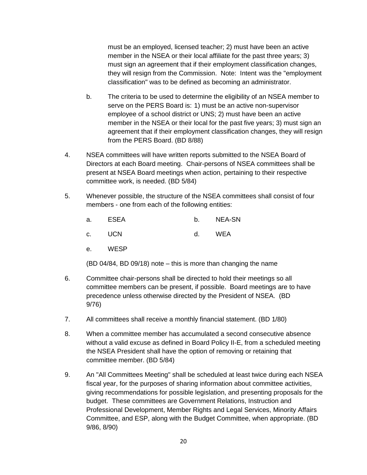must be an employed, licensed teacher; 2) must have been an active member in the NSEA or their local affiliate for the past three years; 3) must sign an agreement that if their employment classification changes, they will resign from the Commission. Note: Intent was the "employment classification" was to be defined as becoming an administrator.

- b. The criteria to be used to determine the eligibility of an NSEA member to serve on the PERS Board is: 1) must be an active non-supervisor employee of a school district or UNS; 2) must have been an active member in the NSEA or their local for the past five years; 3) must sign an agreement that if their employment classification changes, they will resign from the PERS Board. (BD 8/88)
- 4. NSEA committees will have written reports submitted to the NSEA Board of Directors at each Board meeting. Chair-persons of NSEA committees shall be present at NSEA Board meetings when action, pertaining to their respective committee work, is needed. (BD 5/84)
- 5. Whenever possible, the structure of the NSEA committees shall consist of four members - one from each of the following entities:

| <b>ESEA</b><br>a. |  | <b>NEA-SN</b> |
|-------------------|--|---------------|
|-------------------|--|---------------|

- c. UCN d. WEA
- e. WESP

(BD 04/84, BD 09/18) note – this is more than changing the name

- 6. Committee chair-persons shall be directed to hold their meetings so all committee members can be present, if possible. Board meetings are to have precedence unless otherwise directed by the President of NSEA. (BD 9/76)
- 7. All committees shall receive a monthly financial statement. (BD 1/80)
- 8. When a committee member has accumulated a second consecutive absence without a valid excuse as defined in Board Policy II-E, from a scheduled meeting the NSEA President shall have the option of removing or retaining that committee member. (BD 5/84)
- 9. An "All Committees Meeting" shall be scheduled at least twice during each NSEA fiscal year, for the purposes of sharing information about committee activities, giving recommendations for possible legislation, and presenting proposals for the budget. These committees are Government Relations, Instruction and Professional Development, Member Rights and Legal Services, Minority Affairs Committee, and ESP, along with the Budget Committee, when appropriate. (BD 9/86, 8/90)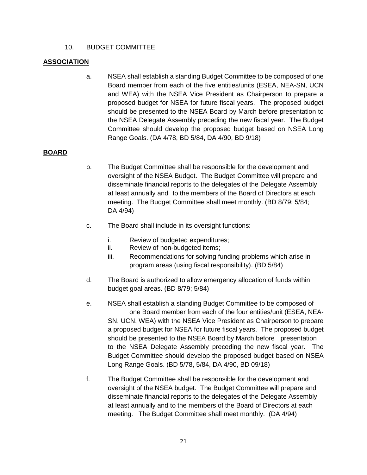## 10. BUDGET COMMITTEE

## **ASSOCIATION**

a. NSEA shall establish a standing Budget Committee to be composed of one Board member from each of the five entities/units (ESEA, NEA-SN, UCN and WEA) with the NSEA Vice President as Chairperson to prepare a proposed budget for NSEA for future fiscal years. The proposed budget should be presented to the NSEA Board by March before presentation to the NSEA Delegate Assembly preceding the new fiscal year. The Budget Committee should develop the proposed budget based on NSEA Long Range Goals. (DA 4/78, BD 5/84, DA 4/90, BD 9/18)

- b. The Budget Committee shall be responsible for the development and oversight of the NSEA Budget. The Budget Committee will prepare and disseminate financial reports to the delegates of the Delegate Assembly at least annually and to the members of the Board of Directors at each meeting. The Budget Committee shall meet monthly. (BD 8/79; 5/84; DA 4/94)
- c. The Board shall include in its oversight functions:
	- i. Review of budgeted expenditures;
	- ii. Review of non-budgeted items;
	- iii. Recommendations for solving funding problems which arise in program areas (using fiscal responsibility). (BD 5/84)
- d. The Board is authorized to allow emergency allocation of funds within budget goal areas. (BD 8/79; 5/84)
- e. NSEA shall establish a standing Budget Committee to be composed of one Board member from each of the four entities/unit (ESEA, NEA-SN, UCN, WEA) with the NSEA Vice President as Chairperson to prepare a proposed budget for NSEA for future fiscal years. The proposed budget should be presented to the NSEA Board by March before presentation to the NSEA Delegate Assembly preceding the new fiscal year. The Budget Committee should develop the proposed budget based on NSEA Long Range Goals. (BD 5/78, 5/84, DA 4/90, BD 09/18)
- f. The Budget Committee shall be responsible for the development and oversight of the NSEA budget. The Budget Committee will prepare and disseminate financial reports to the delegates of the Delegate Assembly at least annually and to the members of the Board of Directors at each meeting. The Budget Committee shall meet monthly. (DA 4/94)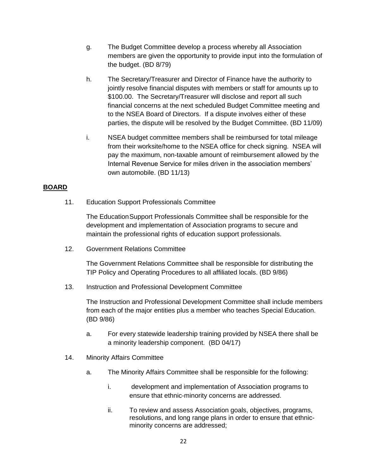- g. The Budget Committee develop a process whereby all Association members are given the opportunity to provide input into the formulation of the budget. (BD 8/79)
- h. The Secretary/Treasurer and Director of Finance have the authority to jointly resolve financial disputes with members or staff for amounts up to \$100.00. The Secretary/Treasurer will disclose and report all such financial concerns at the next scheduled Budget Committee meeting and to the NSEA Board of Directors. If a dispute involves either of these parties, the dispute will be resolved by the Budget Committee. (BD 11/09)
- i. NSEA budget committee members shall be reimbursed for total mileage from their worksite/home to the NSEA office for check signing. NSEA will pay the maximum, non-taxable amount of reimbursement allowed by the Internal Revenue Service for miles driven in the association members' own automobile. (BD 11/13)

## **BOARD**

11. Education Support Professionals Committee

The EducationSupport Professionals Committee shall be responsible for the development and implementation of Association programs to secure and maintain the professional rights of education support professionals.

12. Government Relations Committee

The Government Relations Committee shall be responsible for distributing the TIP Policy and Operating Procedures to all affiliated locals. (BD 9/86)

13. Instruction and Professional Development Committee

The Instruction and Professional Development Committee shall include members from each of the major entities plus a member who teaches Special Education. (BD 9/86)

- a. For every statewide leadership training provided by NSEA there shall be a minority leadership component. (BD 04/17)
- 14. Minority Affairs Committee
	- a. The Minority Affairs Committee shall be responsible for the following:
		- i. development and implementation of Association programs to ensure that ethnic-minority concerns are addressed.
		- ii. To review and assess Association goals, objectives, programs, resolutions, and long range plans in order to ensure that ethnicminority concerns are addressed;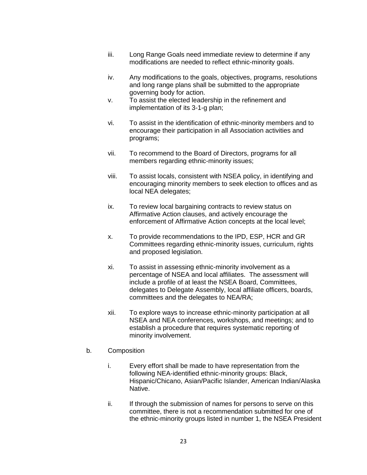- iii. Long Range Goals need immediate review to determine if any modifications are needed to reflect ethnic-minority goals.
- iv. Any modifications to the goals, objectives, programs, resolutions and long range plans shall be submitted to the appropriate governing body for action.
- v. To assist the elected leadership in the refinement and implementation of its 3-1-g plan;
- vi. To assist in the identification of ethnic-minority members and to encourage their participation in all Association activities and programs;
- vii. To recommend to the Board of Directors, programs for all members regarding ethnic-minority issues;
- viii. To assist locals, consistent with NSEA policy, in identifying and encouraging minority members to seek election to offices and as local NEA delegates;
- ix. To review local bargaining contracts to review status on Affirmative Action clauses, and actively encourage the enforcement of Affirmative Action concepts at the local level;
- x. To provide recommendations to the IPD, ESP, HCR and GR Committees regarding ethnic-minority issues, curriculum, rights and proposed legislation.
- xi. To assist in assessing ethnic-minority involvement as a percentage of NSEA and local affiliates. The assessment will include a profile of at least the NSEA Board, Committees, delegates to Delegate Assembly, local affiliate officers, boards, committees and the delegates to NEA/RA;
- xii. To explore ways to increase ethnic-minority participation at all NSEA and NEA conferences, workshops, and meetings; and to establish a procedure that requires systematic reporting of minority involvement.

#### b. Composition

- i. Every effort shall be made to have representation from the following NEA-identified ethnic-minority groups: Black, Hispanic/Chicano, Asian/Pacific Islander, American Indian/Alaska Native.
- ii. If through the submission of names for persons to serve on this committee, there is not a recommendation submitted for one of the ethnic-minority groups listed in number 1, the NSEA President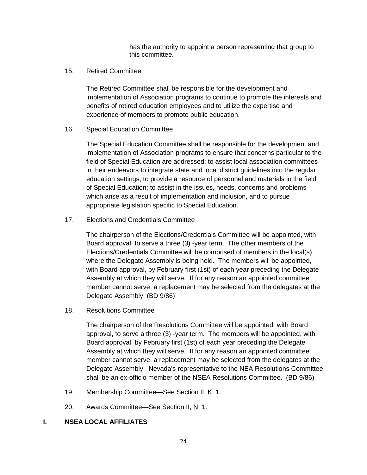has the authority to appoint a person representing that group to this committee.

15. Retired Committee

The Retired Committee shall be responsible for the development and implementation of Association programs to continue to promote the interests and benefits of retired education employees and to utilize the expertise and experience of members to promote public education.

#### 16. Special Education Committee

The Special Education Committee shall be responsible for the development and implementation of Association programs to ensure that concerns particular to the field of Special Education are addressed; to assist local association committees in their endeavors to integrate state and local district guidelines into the regular education settings; to provide a resource of personnel and materials in the field of Special Education; to assist in the issues, needs, concerns and problems which arise as a result of implementation and inclusion, and to pursue appropriate legislation specific to Special Education.

17. Elections and Credentials Committee

The chairperson of the Elections/Credentials Committee will be appointed, with Board approval, to serve a three (3) -year term. The other members of the Elections/Credentials Committee will be comprised of members in the local(s) where the Delegate Assembly is being held. The members will be appointed, with Board approval, by February first (1st) of each year preceding the Delegate Assembly at which they will serve. If for any reason an appointed committee member cannot serve, a replacement may be selected from the delegates at the Delegate Assembly. (BD 9/86)

18. Resolutions Committee

The chairperson of the Resolutions Committee will be appointed, with Board approval, to serve a three (3) -year term. The members will be appointed, with Board approval, by February first (1st) of each year preceding the Delegate Assembly at which they will serve. If for any reason an appointed committee member cannot serve, a replacement may be selected from the delegates at the Delegate Assembly. Nevada's representative to the NEA Resolutions Committee shall be an ex-officio member of the NSEA Resolutions Committee. (BD 9/86)

- 19. Membership Committee—See Section II, K, 1.
- 20. Awards Committee—See Section II, N, 1.

## **I. NSEA LOCAL AFFILIATES**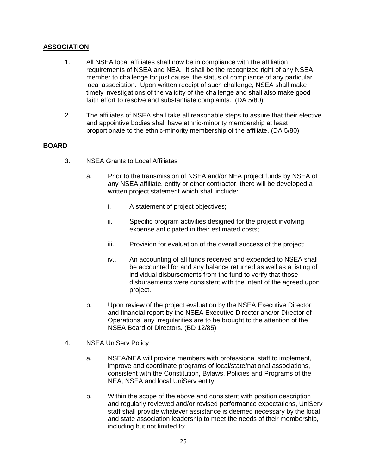## **ASSOCIATION**

- 1. All NSEA local affiliates shall now be in compliance with the affiliation requirements of NSEA and NEA. It shall be the recognized right of any NSEA member to challenge for just cause, the status of compliance of any particular local association. Upon written receipt of such challenge, NSEA shall make timely investigations of the validity of the challenge and shall also make good faith effort to resolve and substantiate complaints. (DA 5/80)
- 2. The affiliates of NSEA shall take all reasonable steps to assure that their elective and appointive bodies shall have ethnic-minority membership at least proportionate to the ethnic-minority membership of the affiliate. (DA 5/80)

- 3. NSEA Grants to Local Affiliates
	- a. Prior to the transmission of NSEA and/or NEA project funds by NSEA of any NSEA affiliate, entity or other contractor, there will be developed a written project statement which shall include:
		- i. A statement of project objectives;
		- ii. Specific program activities designed for the project involving expense anticipated in their estimated costs;
		- iii. Provision for evaluation of the overall success of the project;
		- iv.. An accounting of all funds received and expended to NSEA shall be accounted for and any balance returned as well as a listing of individual disbursements from the fund to verify that those disbursements were consistent with the intent of the agreed upon project.
	- b. Upon review of the project evaluation by the NSEA Executive Director and financial report by the NSEA Executive Director and/or Director of Operations, any irregularities are to be brought to the attention of the NSEA Board of Directors. (BD 12/85)
- 4. NSEA UniServ Policy
	- a. NSEA/NEA will provide members with professional staff to implement, improve and coordinate programs of local/state/national associations, consistent with the Constitution, Bylaws, Policies and Programs of the NEA, NSEA and local UniServ entity.
	- b. Within the scope of the above and consistent with position description and regularly reviewed and/or revised performance expectations, UniServ staff shall provide whatever assistance is deemed necessary by the local and state association leadership to meet the needs of their membership, including but not limited to: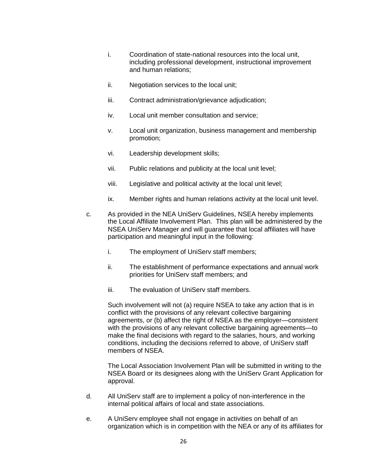- i. Coordination of state-national resources into the local unit, including professional development, instructional improvement and human relations;
- ii. Negotiation services to the local unit;
- iii. Contract administration/grievance adjudication;
- iv. Local unit member consultation and service;
- v. Local unit organization, business management and membership promotion;
- vi. Leadership development skills;
- vii. Public relations and publicity at the local unit level;
- viii. Legislative and political activity at the local unit level;
- ix. Member rights and human relations activity at the local unit level.
- c. As provided in the NEA UniServ Guidelines, NSEA hereby implements the Local Affiliate Involvement Plan. This plan will be administered by the NSEA UniServ Manager and will guarantee that local affiliates will have participation and meaningful input in the following:
	- i. The employment of UniServ staff members;
	- ii. The establishment of performance expectations and annual work priorities for UniServ staff members; and
	- iii. The evaluation of UniServ staff members.

Such involvement will not (a) require NSEA to take any action that is in conflict with the provisions of any relevant collective bargaining agreements, or (b) affect the right of NSEA as the employer—consistent with the provisions of any relevant collective bargaining agreements—to make the final decisions with regard to the salaries, hours, and working conditions, including the decisions referred to above, of UniServ staff members of NSEA.

The Local Association Involvement Plan will be submitted in writing to the NSEA Board or its designees along with the UniServ Grant Application for approval.

- d. All UniServ staff are to implement a policy of non-interference in the internal political affairs of local and state associations.
- e. A UniServ employee shall not engage in activities on behalf of an organization which is in competition with the NEA or any of its affiliates for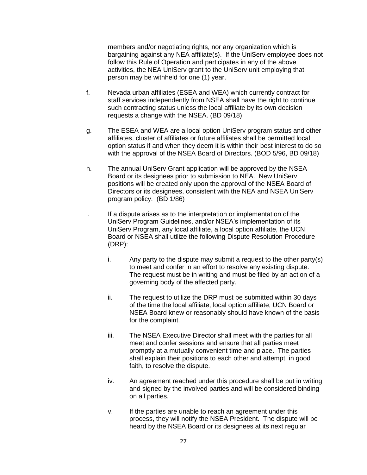members and/or negotiating rights, nor any organization which is bargaining against any NEA affiliate(s). If the UniServ employee does not follow this Rule of Operation and participates in any of the above activities, the NEA UniServ grant to the UniServ unit employing that person may be withheld for one (1) year.

- f. Nevada urban affiliates (ESEA and WEA) which currently contract for staff services independently from NSEA shall have the right to continue such contracting status unless the local affiliate by its own decision requests a change with the NSEA. (BD 09/18)
- g. The ESEA and WEA are a local option UniServ program status and other affiliates, cluster of affiliates or future affiliates shall be permitted local option status if and when they deem it is within their best interest to do so with the approval of the NSEA Board of Directors. (BOD 5/96, BD 09/18)
- h. The annual UniServ Grant application will be approved by the NSEA Board or its designees prior to submission to NEA. New UniServ positions will be created only upon the approval of the NSEA Board of Directors or its designees, consistent with the NEA and NSEA UniServ program policy. (BD 1/86)
- i. If a dispute arises as to the interpretation or implementation of the UniServ Program Guidelines, and/or NSEA's implementation of its UniServ Program, any local affiliate, a local option affiliate, the UCN Board or NSEA shall utilize the following Dispute Resolution Procedure (DRP):
	- i. Any party to the dispute may submit a request to the other party(s) to meet and confer in an effort to resolve any existing dispute. The request must be in writing and must be filed by an action of a governing body of the affected party.
	- ii. The request to utilize the DRP must be submitted within 30 days of the time the local affiliate, local option affiliate, UCN Board or NSEA Board knew or reasonably should have known of the basis for the complaint.
	- iii. The NSEA Executive Director shall meet with the parties for all meet and confer sessions and ensure that all parties meet promptly at a mutually convenient time and place. The parties shall explain their positions to each other and attempt, in good faith, to resolve the dispute.
	- iv. An agreement reached under this procedure shall be put in writing and signed by the involved parties and will be considered binding on all parties.
	- v. If the parties are unable to reach an agreement under this process, they will notify the NSEA President. The dispute will be heard by the NSEA Board or its designees at its next regular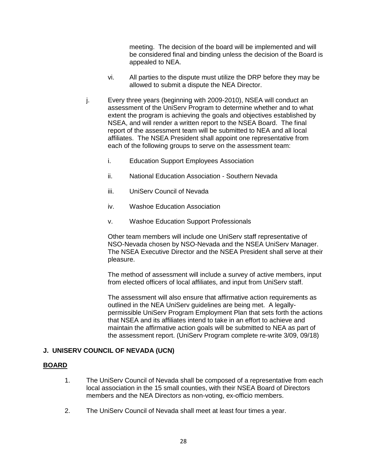meeting. The decision of the board will be implemented and will be considered final and binding unless the decision of the Board is appealed to NEA.

- vi. All parties to the dispute must utilize the DRP before they may be allowed to submit a dispute the NEA Director.
- j. Every three years (beginning with 2009-2010), NSEA will conduct an assessment of the UniServ Program to determine whether and to what extent the program is achieving the goals and objectives established by NSEA, and will render a written report to the NSEA Board. The final report of the assessment team will be submitted to NEA and all local affiliates. The NSEA President shall appoint one representative from each of the following groups to serve on the assessment team:
	- i. Education Support Employees Association
	- ii. National Education Association Southern Nevada
	- iii. UniServ Council of Nevada
	- iv. Washoe Education Association
	- v. Washoe Education Support Professionals

Other team members will include one UniServ staff representative of NSO-Nevada chosen by NSO-Nevada and the NSEA UniServ Manager. The NSEA Executive Director and the NSEA President shall serve at their pleasure.

The method of assessment will include a survey of active members, input from elected officers of local affiliates, and input from UniServ staff.

The assessment will also ensure that affirmative action requirements as outlined in the NEA UniServ guidelines are being met. A legallypermissible UniServ Program Employment Plan that sets forth the actions that NSEA and its affiliates intend to take in an effort to achieve and maintain the affirmative action goals will be submitted to NEA as part of the assessment report. (UniServ Program complete re-write 3/09, 09/18)

## **J. UNISERV COUNCIL OF NEVADA (UCN)**

- 1. The UniServ Council of Nevada shall be composed of a representative from each local association in the 15 small counties, with their NSEA Board of Directors members and the NEA Director*s* as non-voting, ex-officio members.
- 2. The UniServ Council of Nevada shall meet at least four times a year.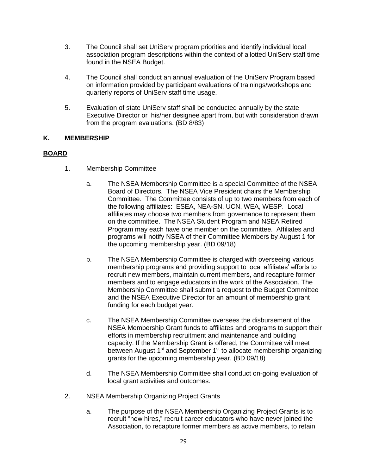- 3. The Council shall set UniServ program priorities and identify individual local association program descriptions within the context of allotted UniServ staff time found in the NSEA Budget.
- 4. The Council shall conduct an annual evaluation of the UniServ Program based on information provided by participant evaluations of trainings/workshops and quarterly reports of UniServ staff time usage.
- 5. Evaluation of state UniServ staff shall be conducted annually by the state Executive Director or his/her designee apart from, but with consideration drawn from the program evaluations. (BD 8/83)

## **K. MEMBERSHIP**

- 1. Membership Committee
	- a. The NSEA Membership Committee is a special Committee of the NSEA Board of Directors. The NSEA Vice President chairs the Membership Committee. The Committee consists of up to two members from each of the following affiliates: ESEA, NEA-SN, UCN, WEA, WESP. Local affiliates may choose two members from governance to represent them on the committee. The NSEA Student Program and NSEA Retired Program may each have one member on the committee. Affiliates and programs will notify NSEA of their Committee Members by August 1 for the upcoming membership year. (BD 09/18)
	- b. The NSEA Membership Committee is charged with overseeing various membership programs and providing support to local affiliates' efforts to recruit new members, maintain current members, and recapture former members and to engage educators in the work of the Association. The Membership Committee shall submit a request to the Budget Committee and the NSEA Executive Director for an amount of membership grant funding for each budget year.
	- c. The NSEA Membership Committee oversees the disbursement of the NSEA Membership Grant funds to affiliates and programs to support their efforts in membership recruitment and maintenance and building capacity. If the Membership Grant is offered, the Committee will meet between August 1<sup>st</sup> and September 1<sup>st</sup> to allocate membership organizing grants for the upcoming membership year. (BD 09/18)
	- d. The NSEA Membership Committee shall conduct on-going evaluation of local grant activities and outcomes.
- 2. NSEA Membership Organizing Project Grants
	- a. The purpose of the NSEA Membership Organizing Project Grants is to recruit "new hires," recruit career educators who have never joined the Association, to recapture former members as active members, to retain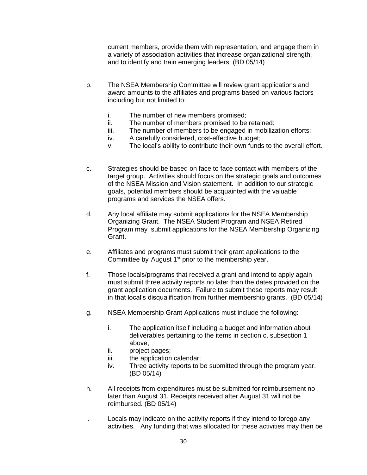current members, provide them with representation, and engage them in a variety of association activities that increase organizational strength, and to identify and train emerging leaders. (BD 05/14)

- b. The NSEA Membership Committee will review grant applications and award amounts to the affiliates and programs based on various factors including but not limited to:
	- i. The number of new members promised;
	- ii. The number of members promised to be retained:
	- iii. The number of members to be engaged in mobilization efforts;
	- iv. A carefully considered, cost-effective budget;
	- v. The local's ability to contribute their own funds to the overall effort.
- c. Strategies should be based on face to face contact with members of the target group. Activities should focus on the strategic goals and outcomes of the NSEA Mission and Vision statement. In addition to our strategic goals, potential members should be acquainted with the valuable programs and services the NSEA offers.
- d. Any local affiliate may submit applications for the NSEA Membership Organizing Grant. The NSEA Student Program and NSEA Retired Program may submit applications for the NSEA Membership Organizing Grant.
- e. Affiliates and programs must submit their grant applications to the Committee by August 1<sup>st</sup> prior to the membership year.
- f. Those locals/programs that received a grant and intend to apply again must submit three activity reports no later than the dates provided on the grant application documents. Failure to submit these reports may result in that local's disqualification from further membership grants. (BD 05/14)
- g. NSEA Membership Grant Applications must include the following:
	- i. The application itself including a budget and information about deliverables pertaining to the items in section c, subsection 1 above;
	- ii. project pages;
	- iii. the application calendar;
	- iv. Three activity reports to be submitted through the program year. (BD 05/14)
- h. All receipts from expenditures must be submitted for reimbursement no later than August 31. Receipts received after August 31 will not be reimbursed. (BD 05/14)
- i. Locals may indicate on the activity reports if they intend to forego any activities. Any funding that was allocated for these activities may then be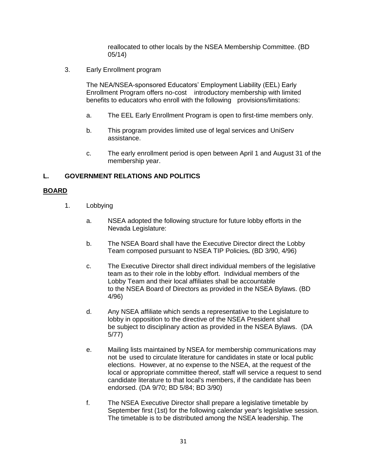reallocated to other locals by the NSEA Membership Committee. (BD 05/14)

3. Early Enrollment program

The NEA/NSEA-sponsored Educators' Employment Liability (EEL) Early Enrollment Program offers no-cost introductory membership with limited benefits to educators who enroll with the following provisions/limitations:

- a. The EEL Early Enrollment Program is open to first-time members only.
- b. This program provides limited use of legal services and UniServ assistance.
- c. The early enrollment period is open between April 1 and August 31 of the membership year.

## **L. GOVERNMENT RELATIONS AND POLITICS**

- 1. Lobbying
	- a. NSEA adopted the following structure for future lobby efforts in the Nevada Legislature:
	- b. The NSEA Board shall have the Executive Director direct the Lobby Team composed pursuant to NSEA TIP Policies*.* (BD 3/90, 4/96)
	- c. The Executive Director shall direct individual members of the legislative team as to their role in the lobby effort. Individual members of the Lobby Team and their local affiliates shall be accountable to the NSEA Board of Directors as provided in the NSEA Bylaws. (BD 4/96)
	- d. Any NSEA affiliate which sends a representative to the Legislature to lobby in opposition to the directive of the NSEA President shall be subject to disciplinary action as provided in the NSEA Bylaws. (DA 5/77)
	- e. Mailing lists maintained by NSEA for membership communications may not be used to circulate literature for candidates in state or local public elections. However, at no expense to the NSEA, at the request of the local or appropriate committee thereof, staff will service a request to send candidate literature to that local's members, if the candidate has been endorsed. (DA 9/70; BD 5/84; BD 3/90)
	- f. The NSEA Executive Director shall prepare a legislative timetable by September first (1st) for the following calendar year's legislative session. The timetable is to be distributed among the NSEA leadership. The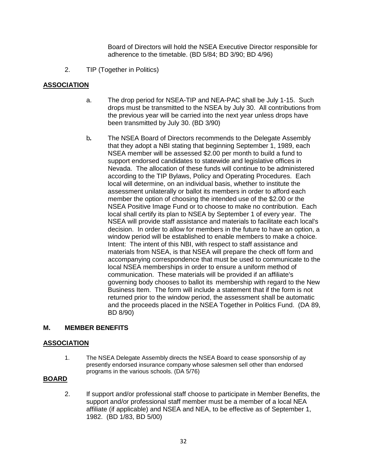Board of Directors will hold the NSEA Executive Director responsible for adherence to the timetable. (BD 5/84; BD 3/90; BD 4/96)

2. TIP (Together in Politics)

## **ASSOCIATION**

- a. The drop period for NSEA-TIP and NEA-PAC shall be July 1-15. Such drops must be transmitted to the NSEA by July 30. All contributions from the previous year will be carried into the next year unless drops have been transmitted by July 30. (BD 3/90)
- b*.* The NSEA Board of Directors recommends to the Delegate Assembly that they adopt a NBI stating that beginning September 1, 1989, each NSEA member will be assessed \$2.00 per month to build a fund to support endorsed candidates to statewide and legislative offices in Nevada. The allocation of these funds will continue to be administered according to the TIP Bylaws, Policy and Operating Procedures. Each local will determine, on an individual basis, whether to institute the assessment unilaterally or ballot its members in order to afford each member the option of choosing the intended use of the \$2.00 or the NSEA Positive Image Fund or to choose to make no contribution. Each local shall certify its plan to NSEA by September 1 of every year. The NSEA will provide staff assistance and materials to facilitate each local's decision. In order to allow for members in the future to have an option, a window period will be established to enable members to make a choice. Intent: The intent of this NBI, with respect to staff assistance and materials from NSEA, is that NSEA will prepare the check off form and accompanying correspondence that must be used to communicate to the local NSEA memberships in order to ensure a uniform method of communication. These materials will be provided if an affiliate's governing body chooses to ballot its membership with regard to the New Business Item. The form will include a statement that if the form is not returned prior to the window period, the assessment shall be automatic and the proceeds placed in the NSEA Together in Politics Fund. (DA 89, BD 8/90)

## **M. MEMBER BENEFITS**

#### **ASSOCIATION**

1. The NSEA Delegate Assembly directs the NSEA Board to cease sponsorship of ay presently endorsed insurance company whose salesmen sell other than endorsed programs in the various schools. (DA 5/76)

#### **BOARD**

2. If support and/or professional staff choose to participate in Member Benefits, the support and/or professional staff member must be a member of a local NEA affiliate (if applicable) and NSEA and NEA, to be effective as of September 1, 1982. (BD 1/83, BD 5/00)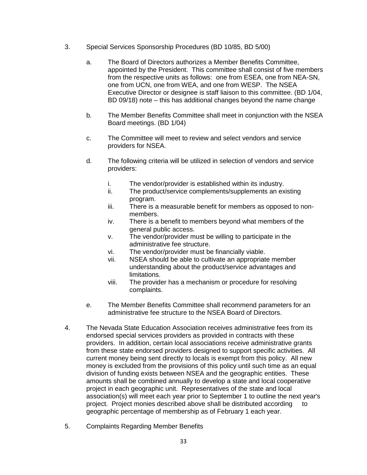- 3. Special Services Sponsorship Procedures (BD 10/85, BD 5/00)
	- a. The Board of Directors authorizes a Member Benefits Committee, appointed by the President. This committee shall consist of five members from the respective units as follows: one from ESEA, one from NEA-SN, one from UCN, one from WEA, and one from WESP. The NSEA Executive Director or designee is staff liaison to this committee. (BD 1/04, BD 09/18) note – this has additional changes beyond the name change
	- b. The Member Benefits Committee shall meet in conjunction with the NSEA Board meetings. (BD 1/04)
	- c. The Committee will meet to review and select vendors and service providers for NSEA.
	- d. The following criteria will be utilized in selection of vendors and service providers:
		- i. The vendor/provider is established within its industry.
		- ii. The product/service complements/supplements an existing program.
		- iii. There is a measurable benefit for members as opposed to nonmembers.
		- iv. There is a benefit to members beyond what members of the general public access.
		- v. The vendor/provider must be willing to participate in the administrative fee structure.
		- vi. The vendor/provider must be financially viable.
		- vii. NSEA should be able to cultivate an appropriate member understanding about the product/service advantages and limitations.
		- viii. The provider has a mechanism or procedure for resolving complaints.
	- e. The Member Benefits Committee shall recommend parameters for an administrative fee structure to the NSEA Board of Directors.
- 4. The Nevada State Education Association receives administrative fees from its endorsed special services providers as provided in contracts with these providers. In addition, certain local associations receive administrative grants from these state endorsed providers designed to support specific activities. All current money being sent directly to locals is exempt from this policy. All new money is excluded from the provisions of this policy until such time as an equal division of funding exists between NSEA and the geographic entities. These amounts shall be combined annually to develop a state and local cooperative project in each geographic unit. Representatives of the state and local association(s) will meet each year prior to September 1 to outline the next year's project. Project monies described above shall be distributed according to geographic percentage of membership as of February 1 each year.
- 5. Complaints Regarding Member Benefits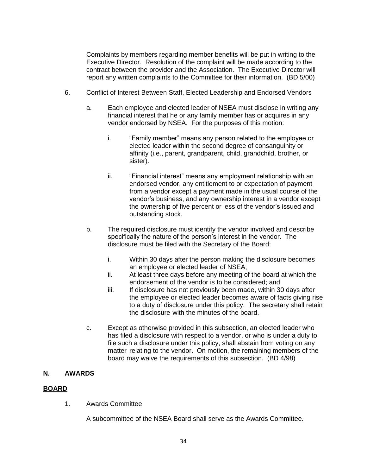Complaints by members regarding member benefits will be put in writing to the Executive Director. Resolution of the complaint will be made according to the contract between the provider and the Association. The Executive Director will report any written complaints to the Committee for their information. (BD 5/00)

- 6. Conflict of Interest Between Staff, Elected Leadership and Endorsed Vendors
	- a. Each employee and elected leader of NSEA must disclose in writing any financial interest that he or any family member has or acquires in any vendor endorsed by NSEA. For the purposes of this motion:
		- i. "Family member" means any person related to the employee or elected leader within the second degree of consanguinity or affinity (i.e., parent, grandparent, child, grandchild, brother, or sister).
		- ii. "Financial interest" means any employment relationship with an endorsed vendor, any entitlement to or expectation of payment from a vendor except a payment made in the usual course of the vendor's business, and any ownership interest in a vendor except the ownership of five percent or less of the vendor's issued and outstanding stock.
	- b. The required disclosure must identify the vendor involved and describe specifically the nature of the person's interest in the vendor. The disclosure must be filed with the Secretary of the Board:
		- i. Within 30 days after the person making the disclosure becomes an employee or elected leader of NSEA;
		- ii. At least three days before any meeting of the board at which the endorsement of the vendor is to be considered; and
		- iii. If disclosure has not previously been made, within 30 days after the employee or elected leader becomes aware of facts giving rise to a duty of disclosure under this policy. The secretary shall retain the disclosure with the minutes of the board.
	- c. Except as otherwise provided in this subsection, an elected leader who has filed a disclosure with respect to a vendor, or who is under a duty to file such a disclosure under this policy, shall abstain from voting on any matter relating to the vendor. On motion, the remaining members of the board may waive the requirements of this subsection. (BD 4/98)

#### **N. AWARDS**

#### **BOARD**

1. Awards Committee

A subcommittee of the NSEA Board shall serve as the Awards Committee.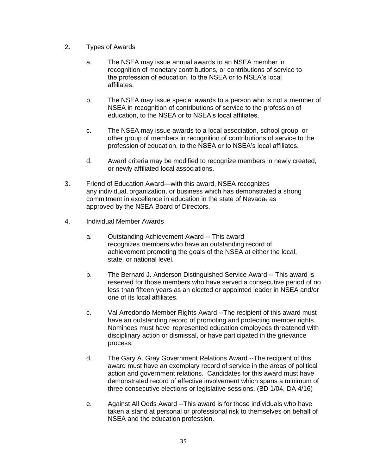- 2*.* Types of Awards
	- a. The NSEA may issue annual awards to an NSEA member in recognition of monetary contributions, or contributions of service to the profession of education, to the NSEA or to NSEA's local affiliates.
	- b. The NSEA may issue special awards to a person who is not a member of NSEA in recognition of contributions of service to the profession of education, to the NSEA or to NSEA's local affiliates.
	- c. The NSEA may issue awards to a local association, school group, or other group of members in recognition of contributions of service to the profession of education, to the NSEA or to NSEA's local affiliates.
	- d. Award criteria may be modified to recognize members in newly created, or newly affiliated local associations.
- 3. Friend of Education Award—with this award, NSEA recognizes any individual, organization, or business which has demonstrated a strong commitment in excellence in education in the state of Nevada-as approved by the NSEA Board of Directors.
- 4. Individual Member Awards
	- a. Outstanding Achievement Award -- This award recognizes members who have an outstanding record of achievement promoting the goals of the NSEA at either the local, state, or national level.
	- b. The Bernard J. Anderson Distinguished Service Award -- This award is reserved for those members who have served a consecutive period of no less than fifteen years as an elected or appointed leader in NSEA and/or one of its local affiliates.
	- c. Val Arredondo Member Rights Award --The recipient of this award must have an outstanding record of promoting and protecting member rights. Nominees must have represented education employees threatened with disciplinary action or dismissal, or have participated in the grievance process.
	- d. The Gary A. Gray Government Relations Award --The recipient of this award must have an exemplary record of service in the areas of political action and government relations. Candidates for this award must have demonstrated record of effective involvement which spans a minimum of three consecutive elections or legislative sessions. (BD 1/04, DA 4/16)
	- e. Against All Odds Award --This award is for those individuals who have taken a stand at personal or professional risk to themselves on behalf of NSEA and the education profession.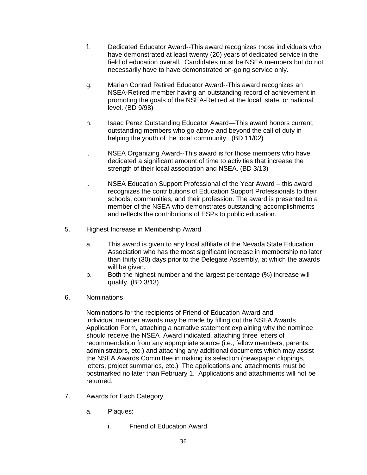- f. Dedicated Educator Award--This award recognizes those individuals who have demonstrated at least twenty (20) years of dedicated service in the field of education overall. Candidates must be NSEA members but do not necessarily have to have demonstrated on-going service only.
- g. Marian Conrad Retired Educator Award--This award recognizes an NSEA-Retired member having an outstanding record of achievement in promoting the goals of the NSEA-Retired at the local, state, or national level. (BD 9/98)
- h. Isaac Perez Outstanding Educator Award—This award honors current, outstanding members who go above and beyond the call of duty in helping the youth of the local community. (BD 11/02)
- i. NSEA Organizing Award--This award is for those members who have dedicated a significant amount of time to activities that increase the strength of their local association and NSEA. (BD 3/13)
- j. NSEA Education Support Professional of the Year Award this award recognizes the contributions of Education Support Professionals to their schools, communities, and their profession. The award is presented to a member of the NSEA who demonstrates outstanding accomplishments and reflects the contributions of ESPs to public education.
- 5. Highest Increase in Membership Award
	- a. This award is given to any local affiliate of the Nevada State Education Association who has the most significant increase in membership no later than thirty (30) days prior to the Delegate Assembly, at which the awards will be given.
	- b. Both the highest number and the largest percentage (%) increase will qualify. (BD 3/13)
- 6. Nominations

Nominations for the recipients of Friend of Education Award and individual member awards may be made by filling out the NSEA Awards Application Form, attaching a narrative statement explaining why the nominee should receive the NSEA Award indicated, attaching three letters of recommendation from any appropriate source (i.e., fellow members, parents, administrators, etc.) and attaching any additional documents which may assist the NSEA Awards Committee in making its selection (newspaper clippings, letters, project summaries, etc.) The applications and attachments must be postmarked no later than February 1. Applications and attachments will not be returned.

- 7. Awards for Each Category
	- a. Plaques:
		- i. Friend of Education Award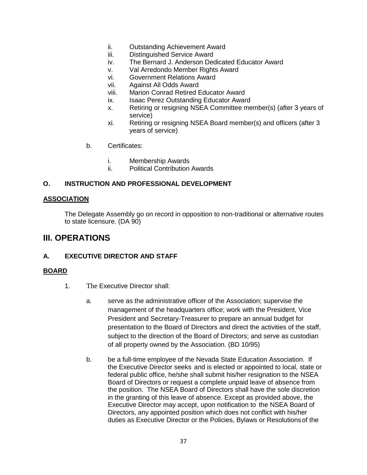- ii. Outstanding Achievement Award
- iii. Distinguished Service Award
- iv. The Bernard J. Anderson Dedicated Educator Award
- v. Val Arredondo Member Rights Award
- vi. Government Relations Award
- vii. Against All Odds Award
- viii. Marion Conrad Retired Educator Award
- ix. Isaac Perez Outstanding Educator Award
- x. Retiring or resigning NSEA Committee member(s) (after 3 years of service)
- xi. Retiring or resigning NSEA Board member(s) and officers (after 3 years of service)
- b. Certificates:
	- i. Membership Awards
	- ii. Political Contribution Awards

#### **O. INSTRUCTION AND PROFESSIONAL DEVELOPMENT**

#### **ASSOCIATION**

The Delegate Assembly go on record in opposition to non-traditional or alternative routes to state licensure. (DA 90)

# **III. OPERATIONS**

#### **A. EXECUTIVE DIRECTOR AND STAFF**

- 1. The Executive Director shall:
	- a. serve as the administrative officer of the Association; supervise the management of the headquarters office; work with the President, Vice President and Secretary-Treasurer to prepare an annual budget for presentation to the Board of Directors and direct the activities of the staff, subject to the direction of the Board of Directors; and serve as custodian of all property owned by the Association. (BD 10/95)
	- b. be a full-time employee of the Nevada State Education Association. If the Executive Director seeks and is elected or appointed to local, state or federal public office, he/she shall submit his/her resignation to the NSEA Board of Directors or request a complete unpaid leave of absence from the position. The NSEA Board of Directors shall have the sole discretion in the granting of this leave of absence. Except as provided above, the Executive Director may accept, upon notification to the NSEA Board of Directors, any appointed position which does not conflict with his/her duties as Executive Director or the Policies, Bylaws or Resolutionsof the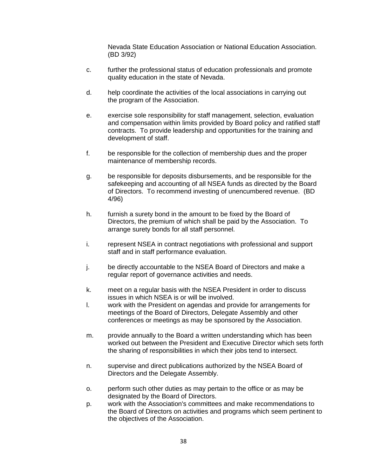Nevada State Education Association or National Education Association. (BD 3/92)

- c. further the professional status of education professionals and promote quality education in the state of Nevada.
- d. help coordinate the activities of the local associations in carrying out the program of the Association.
- e. exercise sole responsibility for staff management, selection, evaluation and compensation within limits provided by Board policy and ratified staff contracts. To provide leadership and opportunities for the training and development of staff.
- f. be responsible for the collection of membership dues and the proper maintenance of membership records.
- g. be responsible for deposits disbursements, and be responsible for the safekeeping and accounting of all NSEA funds as directed by the Board of Directors. To recommend investing of unencumbered revenue. (BD 4/96)
- h. furnish a surety bond in the amount to be fixed by the Board of Directors, the premium of which shall be paid by the Association. To arrange surety bonds for all staff personnel.
- i. represent NSEA in contract negotiations with professional and support staff and in staff performance evaluation.
- j. be directly accountable to the NSEA Board of Directors and make a regular report of governance activities and needs.
- k. meet on a regular basis with the NSEA President in order to discuss issues in which NSEA is or will be involved.
- l. work with the President on agendas and provide for arrangements for meetings of the Board of Directors, Delegate Assembly and other conferences or meetings as may be sponsored by the Association.
- m. provide annually to the Board a written understanding which has been worked out between the President and Executive Director which sets forth the sharing of responsibilities in which their jobs tend to intersect.
- n. supervise and direct publications authorized by the NSEA Board of Directors and the Delegate Assembly.
- o. perform such other duties as may pertain to the office or as may be designated by the Board of Directors.
- p. work with the Association's committees and make recommendations to the Board of Directors on activities and programs which seem pertinent to the objectives of the Association.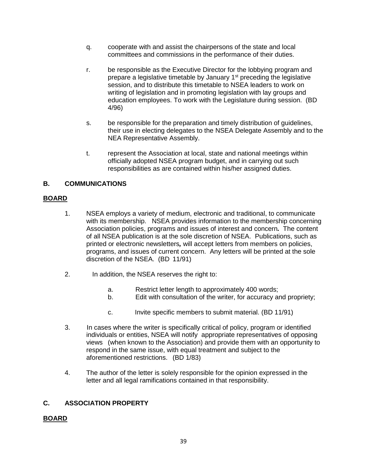- q. cooperate with and assist the chairpersons of the state and local committees and commissions in the performance of their duties.
- r. be responsible as the Executive Director for the lobbying program and prepare a legislative timetable by January  $1<sup>st</sup>$  preceding the legislative session, and to distribute this timetable to NSEA leaders to work on writing of legislation and in promoting legislation with lay groups and education employees. To work with the Legislature during session. (BD 4/96)
- s. be responsible for the preparation and timely distribution of guidelines, their use in electing delegates to the NSEA Delegate Assembly and to the NEA Representative Assembly.
- t. represent the Association at local, state and national meetings within officially adopted NSEA program budget, and in carrying out such responsibilities as are contained within his/her assigned duties.

# **B. COMMUNICATIONS**

## **BOARD**

- 1. NSEA employs a variety of medium, electronic and traditional, to communicate with its membership. NSEA provides information to the membership concerning Association policies, programs and issues of interest and concern*.* The content of all NSEA publication is at the sole discretion of NSEA. Publications, such as printed or electronic newsletters*,* will accept letters from members on policies, programs, and issues of current concern. Any letters will be printed at the sole discretion of the NSEA. (BD 11/91)
- 2. In addition, the NSEA reserves the right to:
	- a. Restrict letter length to approximately 400 words;
	- b. Edit with consultation of the writer, for accuracy and propriety;
	- c. Invite specific members to submit material. (BD 11/91)
- 3. In cases where the writer is specifically critical of policy, program or identified individuals or entities, NSEA will notify appropriate representatives of opposing views (when known to the Association) and provide them with an opportunity to respond in the same issue, with equal treatment and subject to the aforementioned restrictions. (BD 1/83)
- 4. The author of the letter is solely responsible for the opinion expressed in the letter and all legal ramifications contained in that responsibility.

# **C. ASSOCIATION PROPERTY**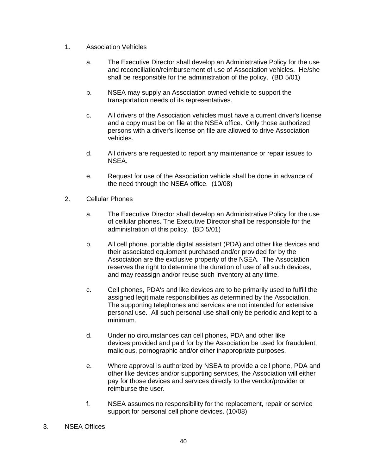- 1*.* Association Vehicles
	- a. The Executive Director shall develop an Administrative Policy for the use and reconciliation/reimbursement of use of Association vehicles. He/she shall be responsible for the administration of the policy. (BD 5/01)
	- b. NSEA may supply an Association owned vehicle to support the transportation needs of its representatives.
	- c. All drivers of the Association vehicles must have a current driver's license and a copy must be on file at the NSEA office. Only those authorized persons with a driver's license on file are allowed to drive Association vehicles.
	- d. All drivers are requested to report any maintenance or repair issues to NSEA.
	- e. Request for use of the Association vehicle shall be done in advance of the need through the NSEA office. (10/08)
- 2. Cellular Phones
	- a. The Executive Director shall develop an Administrative Policy for the use of cellular phones. The Executive Director shall be responsible for the administration of this policy. (BD 5/01)
	- b. All cell phone, portable digital assistant (PDA) and other like devices and their associated equipment purchased and/or provided for by the Association are the exclusive property of the NSEA. The Association reserves the right to determine the duration of use of all such devices, and may reassign and/or reuse such inventory at any time.
	- c. Cell phones, PDA's and like devices are to be primarily used to fulfill the assigned legitimate responsibilities as determined by the Association. The supporting telephones and services are not intended for extensive personal use. All such personal use shall only be periodic and kept to a minimum.
	- d. Under no circumstances can cell phones, PDA and other like devices provided and paid for by the Association be used for fraudulent, malicious, pornographic and/or other inappropriate purposes.
	- e. Where approval is authorized by NSEA to provide a cell phone, PDA and other like devices and/or supporting services, the Association will either pay for those devices and services directly to the vendor/provider or reimburse the user.
	- f. NSEA assumes no responsibility for the replacement, repair or service support for personal cell phone devices. (10/08)
- 3. NSEA Offices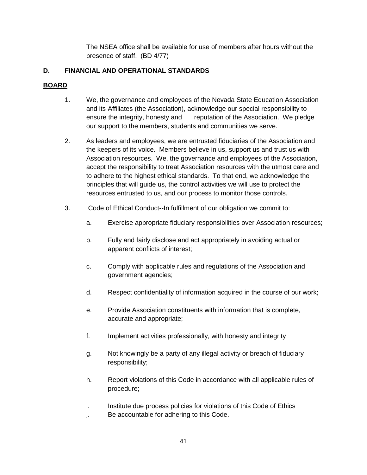The NSEA office shall be available for use of members after hours without the presence of staff. (BD 4/77)

# **D. FINANCIAL AND OPERATIONAL STANDARDS**

- 1. We, the governance and employees of the Nevada State Education Association and its Affiliates (the Association), acknowledge our special responsibility to ensure the integrity, honesty and reputation of the Association. We pledge our support to the members, students and communities we serve.
- 2. As leaders and employees, we are entrusted fiduciaries of the Association and the keepers of its voice. Members believe in us, support us and trust us with Association resources. We, the governance and employees of the Association, accept the responsibility to treat Association resources with the utmost care and to adhere to the highest ethical standards. To that end, we acknowledge the principles that will guide us, the control activities we will use to protect the resources entrusted to us, and our process to monitor those controls.
- 3. Code of Ethical Conduct--In fulfillment of our obligation we commit to:
	- a. Exercise appropriate fiduciary responsibilities over Association resources;
	- b. Fully and fairly disclose and act appropriately in avoiding actual or apparent conflicts of interest;
	- c. Comply with applicable rules and regulations of the Association and government agencies;
	- d. Respect confidentiality of information acquired in the course of our work;
	- e. Provide Association constituents with information that is complete, accurate and appropriate;
	- f. Implement activities professionally, with honesty and integrity
	- g. Not knowingly be a party of any illegal activity or breach of fiduciary responsibility;
	- h. Report violations of this Code in accordance with all applicable rules of procedure;
	- i. Institute due process policies for violations of this Code of Ethics
	- j. Be accountable for adhering to this Code.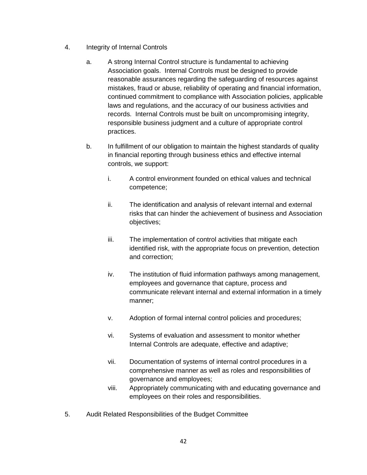- 4. Integrity of Internal Controls
	- a. A strong Internal Control structure is fundamental to achieving Association goals. Internal Controls must be designed to provide reasonable assurances regarding the safeguarding of resources against mistakes, fraud or abuse, reliability of operating and financial information, continued commitment to compliance with Association policies, applicable laws and regulations, and the accuracy of our business activities and records. Internal Controls must be built on uncompromising integrity, responsible business judgment and a culture of appropriate control practices.
	- b. In fulfillment of our obligation to maintain the highest standards of quality in financial reporting through business ethics and effective internal controls, we support:
		- i. A control environment founded on ethical values and technical competence;
		- ii. The identification and analysis of relevant internal and external risks that can hinder the achievement of business and Association objectives;
		- iii. The implementation of control activities that mitigate each identified risk, with the appropriate focus on prevention, detection and correction;
		- iv. The institution of fluid information pathways among management, employees and governance that capture, process and communicate relevant internal and external information in a timely manner;
		- v. Adoption of formal internal control policies and procedures;
		- vi. Systems of evaluation and assessment to monitor whether Internal Controls are adequate, effective and adaptive;
		- vii. Documentation of systems of internal control procedures in a comprehensive manner as well as roles and responsibilities of governance and employees;
		- viii. Appropriately communicating with and educating governance and employees on their roles and responsibilities.
- 5. Audit Related Responsibilities of the Budget Committee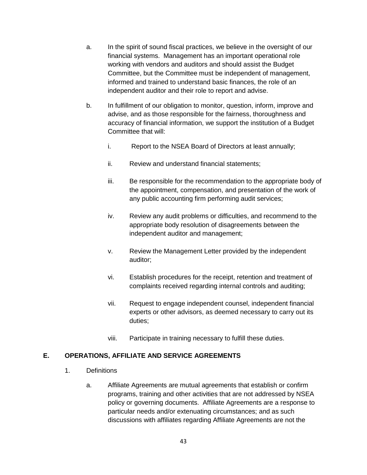- a. In the spirit of sound fiscal practices, we believe in the oversight of our financial systems. Management has an important operational role working with vendors and auditors and should assist the Budget Committee, but the Committee must be independent of management, informed and trained to understand basic finances, the role of an independent auditor and their role to report and advise.
- b. In fulfillment of our obligation to monitor, question, inform, improve and advise, and as those responsible for the fairness, thoroughness and accuracy of financial information, we support the institution of a Budget Committee that will:
	- i. Report to the NSEA Board of Directors at least annually;
	- ii. Review and understand financial statements;
	- iii. Be responsible for the recommendation to the appropriate body of the appointment, compensation, and presentation of the work of any public accounting firm performing audit services;
	- iv. Review any audit problems or difficulties, and recommend to the appropriate body resolution of disagreements between the independent auditor and management;
	- v. Review the Management Letter provided by the independent auditor;
	- vi. Establish procedures for the receipt, retention and treatment of complaints received regarding internal controls and auditing;
	- vii. Request to engage independent counsel, independent financial experts or other advisors, as deemed necessary to carry out its duties;
	- viii. Participate in training necessary to fulfill these duties.

#### **E. OPERATIONS, AFFILIATE AND SERVICE AGREEMENTS**

- 1. Definitions
	- a. Affiliate Agreements are mutual agreements that establish or confirm programs, training and other activities that are not addressed by NSEA policy or governing documents. Affiliate Agreements are a response to particular needs and/or extenuating circumstances; and as such discussions with affiliates regarding Affiliate Agreements are not the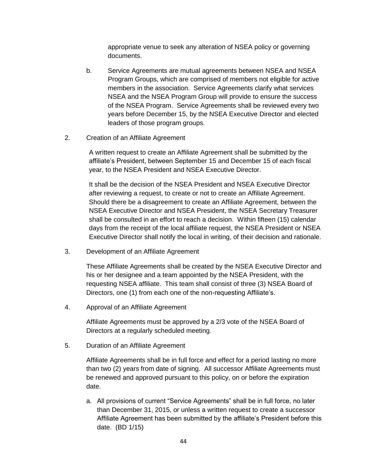appropriate venue to seek any alteration of NSEA policy or governing documents.

- b. Service Agreements are mutual agreements between NSEA and NSEA Program Groups, which are comprised of members not eligible for active members in the association. Service Agreements clarify what services NSEA and the NSEA Program Group will provide to ensure the success of the NSEA Program. Service Agreements shall be reviewed every two years before December 15, by the NSEA Executive Director and elected leaders of those program groups.
- 2. Creation of an Affiliate Agreement

A written request to create an Affiliate Agreement shall be submitted by the affiliate's President, between September 15 and December 15 of each fiscal year, to the NSEA President and NSEA Executive Director.

It shall be the decision of the NSEA President and NSEA Executive Director after reviewing a request, to create or not to create an Affiliate Agreement. Should there be a disagreement to create an Affiliate Agreement, between the NSEA Executive Director and NSEA President, the NSEA Secretary Treasurer shall be consulted in an effort to reach a decision. Within fifteen (15) calendar days from the receipt of the local affiliate request, the NSEA President or NSEA Executive Director shall notify the local in writing, of their decision and rationale.

3. Development of an Affiliate Agreement

These Affiliate Agreements shall be created by the NSEA Executive Director and his or her designee and a team appointed by the NSEA President, with the requesting NSEA affiliate. This team shall consist of three (3) NSEA Board of Directors, one (1) from each one of the non-requesting Affiliate's.

4. Approval of an Affiliate Agreement

Affiliate Agreements must be approved by a 2/3 vote of the NSEA Board of Directors at a regularly scheduled meeting.

5. Duration of an Affiliate Agreement

Affiliate Agreements shall be in full force and effect for a period lasting no more than two (2) years from date of signing. All successor Affiliate Agreements must be renewed and approved pursuant to this policy, on or before the expiration date.

a. All provisions of current "Service Agreements" shall be in full force, no later than December 31, 2015, or unless a written request to create a successor Affiliate Agreement has been submitted by the affiliate's President before this date. (BD 1/15)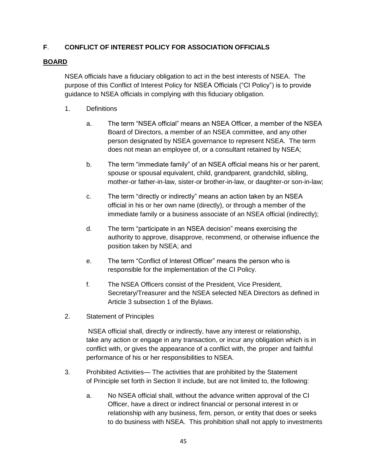# **F**. **CONFLICT OF INTEREST POLICY FOR ASSOCIATION OFFICIALS**

## **BOARD**

NSEA officials have a fiduciary obligation to act in the best interests of NSEA. The purpose of this Conflict of Interest Policy for NSEA Officials ("CI Policy") is to provide guidance to NSEA officials in complying with this fiduciary obligation.

- 1. Definitions
	- a. The term "NSEA official" means an NSEA Officer, a member of the NSEA Board of Directors, a member of an NSEA committee, and any other person designated by NSEA governance to represent NSEA. The term does not mean an employee of, or a consultant retained by NSEA;
	- b. The term "immediate family" of an NSEA official means his or her parent, spouse or spousal equivalent, child, grandparent, grandchild, sibling, mother-or father-in-law, sister-or brother-in-law, or daughter-or son-in-law;
	- c. The term "directly or indirectly" means an action taken by an NSEA official in his or her own name (directly), or through a member of the immediate family or a business associate of an NSEA official (indirectly);
	- d. The term "participate in an NSEA decision" means exercising the authority to approve, disapprove, recommend, or otherwise influence the position taken by NSEA; and
	- e. The term "Conflict of Interest Officer" means the person who is responsible for the implementation of the CI Policy.
	- f. The NSEA Officers consist of the President, Vice President, Secretary/Treasurer and the NSEA selected NEA Directors as defined in Article 3 subsection 1 of the Bylaws.
- 2. Statement of Principles

NSEA official shall, directly or indirectly, have any interest or relationship, take any action or engage in any transaction, or incur any obligation which is in conflict with, or gives the appearance of a conflict with, the proper and faithful performance of his or her responsibilities to NSEA.

- 3. Prohibited Activities— The activities that are prohibited by the Statement of Principle set forth in Section II include, but are not limited to, the following:
	- a. No NSEA official shall, without the advance written approval of the CI Officer, have a direct or indirect financial or personal interest in or relationship with any business, firm, person, or entity that does or seeks to do business with NSEA. This prohibition shall not apply to investments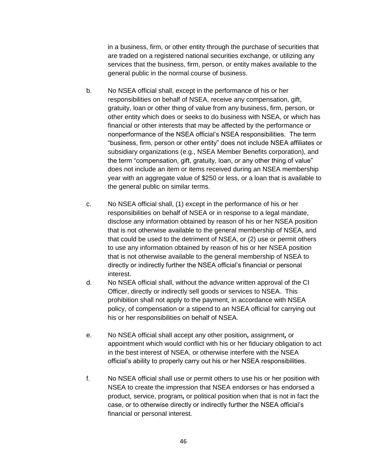in a business, firm, or other entity through the purchase of securities that are traded on a registered national securities exchange, or utilizing any services that the business, firm, person, or entity makes available to the general public in the normal course of business.

- b. No NSEA official shall, except in the performance of his or her responsibilities on behalf of NSEA, receive any compensation, gift, gratuity, loan or other thing of value from any business, firm, person, or other entity which does or seeks to do business with NSEA, or which has financial or other interests that may be affected by the performance or nonperformance of the NSEA official's NSEA responsibilities. The term "business, firm, person or other entity" does not include NSEA affiliates or subsidiary organizations (e.g., NSEA Member Benefits corporation), and the term "compensation, gift, gratuity, loan, or any other thing of value" does not include an item or items received during an NSEA membership year with an aggregate value of \$250 or less, or a loan that is available to the general public on similar terms.
- c. No NSEA official shall, (1) except in the performance of his or her responsibilities on behalf of NSEA or in response to a legal mandate, disclose any information obtained by reason of his or her NSEA position that is not otherwise available to the general membership of NSEA, and that could be used to the detriment of NSEA, or (2) use or permit others to use any information obtained by reason of his or her NSEA position that is not otherwise available to the general membership of NSEA to directly or indirectly further the NSEA official's financial or personal interest.
- d. No NSEA official shall, without the advance written approval of the CI Officer, directly or indirectly sell goods or services to NSEA. This prohibition shall not apply to the payment, in accordance with NSEA policy, of compensation or a stipend to an NSEA official for carrying out his or her responsibilities on behalf of NSEA.
- e. No NSEA official shall accept any other position*,* assignment*,* or appointment which would conflict with his or her fiduciary obligation to act in the best interest of NSEA, or otherwise interfere with the NSEA official's ability to properly carry out his or her NSEA responsibilities.
- f. No NSEA official shall use or permit others to use his or her position with NSEA to create the impression that NSEA endorses or has endorsed a product, service, program*,* or political position when that is not in fact the case, or to otherwise directly or indirectly further the NSEA official's financial or personal interest.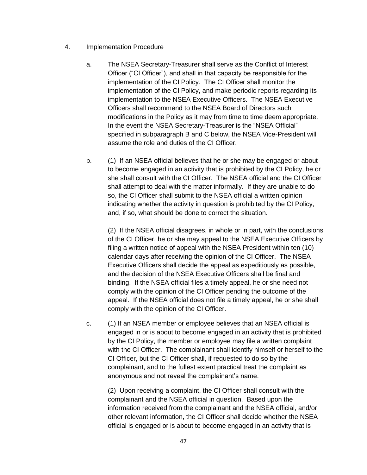- 4. Implementation Procedure
	- a. The NSEA Secretary-Treasurer shall serve as the Conflict of Interest Officer ("CI Officer"), and shall in that capacity be responsible for the implementation of the CI Policy. The CI Officer shall monitor the implementation of the CI Policy, and make periodic reports regarding its implementation to the NSEA Executive Officers. The NSEA Executive Officers shall recommend to the NSEA Board of Directors such modifications in the Policy as it may from time to time deem appropriate. In the event the NSEA Secretary-Treasurer is the "NSEA Official" specified in subparagraph B and C below, the NSEA Vice-President will assume the role and duties of the CI Officer.
	- b. (1) If an NSEA official believes that he or she may be engaged or about to become engaged in an activity that is prohibited by the CI Policy, he or she shall consult with the CI Officer. The NSEA official and the CI Officer shall attempt to deal with the matter informally. If they are unable to do so, the CI Officer shall submit to the NSEA official a written opinion indicating whether the activity in question is prohibited by the CI Policy, and, if so, what should be done to correct the situation.

(2) If the NSEA official disagrees, in whole or in part, with the conclusions of the CI Officer, he or she may appeal to the NSEA Executive Officers by filing a written notice of appeal with the NSEA President within ten (10) calendar days after receiving the opinion of the CI Officer. The NSEA Executive Officers shall decide the appeal as expeditiously as possible, and the decision of the NSEA Executive Officers shall be final and binding. If the NSEA official files a timely appeal, he or she need not comply with the opinion of the CI Officer pending the outcome of the appeal. If the NSEA official does not file a timely appeal, he or she shall comply with the opinion of the CI Officer.

c. (1) If an NSEA member or employee believes that an NSEA official is engaged in or is about to become engaged in an activity that is prohibited by the CI Policy, the member or employee may file a written complaint with the CI Officer. The complainant shall identify himself or herself to the CI Officer, but the CI Officer shall, if requested to do so by the complainant, and to the fullest extent practical treat the complaint as anonymous and not reveal the complainant's name.

(2) Upon receiving a complaint, the CI Officer shall consult with the complainant and the NSEA official in question. Based upon the information received from the complainant and the NSEA official, and/or other relevant information, the CI Officer shall decide whether the NSEA official is engaged or is about to become engaged in an activity that is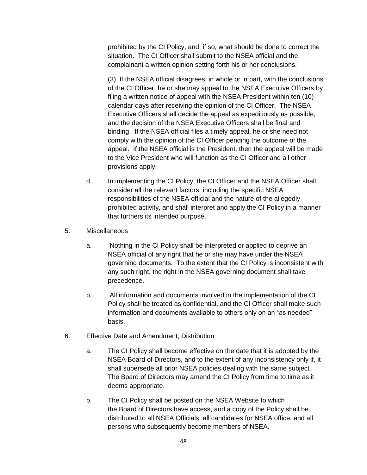prohibited by the CI Policy, and, if so, what should be done to correct the situation. The CI Officer shall submit to the NSEA official and the complainant a written opinion setting forth his or her conclusions.

(3) If the NSEA official disagrees, in whole or in part, with the conclusions of the CI Officer, he or she may appeal to the NSEA Executive Officers by filing a written notice of appeal with the NSEA President within ten (10) calendar days after receiving the opinion of the CI Officer. The NSEA Executive Officers shall decide the appeal as expeditiously as possible, and the decision of the NSEA Executive Officers shall be final and binding. If the NSEA official files a timely appeal, he or she need not comply with the opinion of the CI Officer pending the outcome of the appeal. If the NSEA official is the President, then the appeal will be made to the Vice President who will function as the CI Officer and all other provisions apply.

- d. In implementing the CI Policy, the CI Officer and the NSEA Officer shall consider all the relevant factors, including the specific NSEA responsibilities of the NSEA official and the nature of the allegedly prohibited activity, and shall interpret and apply the CI Policy in a manner that furthers its intended purpose.
- 5. Miscellaneous
	- a. Nothing in the CI Policy shall be interpreted or applied to deprive an NSEA official of any right that he or she may have under the NSEA governing documents. To the extent that the CI Policy is inconsistent with any such right, the right in the NSEA governing document shall take precedence.
	- b. All information and documents involved in the implementation of the CI Policy shall be treated as confidential, and the CI Officer shall make such information and documents available to others only on an "as needed" basis.
- 6. Effective Date and Amendment; Distribution
	- a. The CI Policy shall become effective on the date that it is adopted by the NSEA Board of Directors, and to the extent of any inconsistency only if, it shall supersede all prior NSEA policies dealing with the same subject. The Board of Directors may amend the CI Policy from time to time as it deems appropriate.
	- b. The CI Policy shall be posted on the NSEA Website to which the Board of Directors have access, and a copy of the Policy shall be distributed to all NSEA Officials, all candidates for NSEA office, and all persons who subsequently become members of NSEA.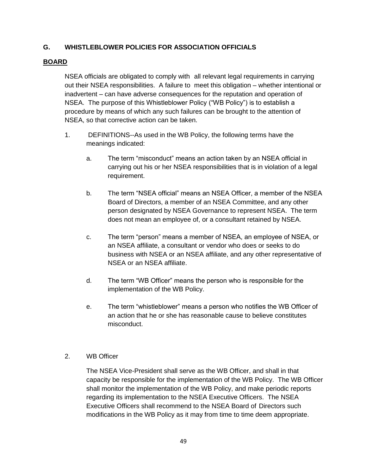# **G. WHISTLEBLOWER POLICIES FOR ASSOCIATION OFFICIALS**

#### **BOARD**

NSEA officials are obligated to comply with all relevant legal requirements in carrying out their NSEA responsibilities. A failure to meet this obligation – whether intentional or inadvertent – can have adverse consequences for the reputation and operation of NSEA. The purpose of this Whistleblower Policy ("WB Policy") is to establish a procedure by means of which any such failures can be brought to the attention of NSEA, so that corrective action can be taken.

- 1. DEFINITIONS--As used in the WB Policy, the following terms have the meanings indicated:
	- a. The term "misconduct" means an action taken by an NSEA official in carrying out his or her NSEA responsibilities that is in violation of a legal requirement.
	- b. The term "NSEA official" means an NSEA Officer, a member of the NSEA Board of Directors, a member of an NSEA Committee, and any other person designated by NSEA Governance to represent NSEA. The term does not mean an employee of, or a consultant retained by NSEA.
	- c. The term "person" means a member of NSEA, an employee of NSEA, or an NSEA affiliate, a consultant or vendor who does or seeks to do business with NSEA or an NSEA affiliate, and any other representative of NSEA or an NSEA affiliate.
	- d. The term "WB Officer" means the person who is responsible for the implementation of the WB Policy.
	- e. The term "whistleblower" means a person who notifies the WB Officer of an action that he or she has reasonable cause to believe constitutes misconduct.

#### 2. WB Officer

The NSEA Vice-President shall serve as the WB Officer, and shall in that capacity be responsible for the implementation of the WB Policy. The WB Officer shall monitor the implementation of the WB Policy, and make periodic reports regarding its implementation to the NSEA Executive Officers. The NSEA Executive Officers shall recommend to the NSEA Board of Directors such modifications in the WB Policy as it may from time to time deem appropriate.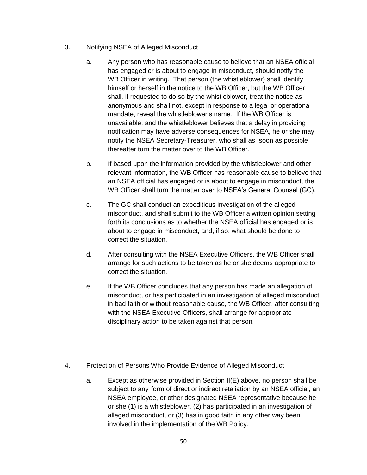- 3. Notifying NSEA of Alleged Misconduct
	- a. Any person who has reasonable cause to believe that an NSEA official has engaged or is about to engage in misconduct, should notify the WB Officer in writing. That person (the whistleblower) shall identify himself or herself in the notice to the WB Officer, but the WB Officer shall, if requested to do so by the whistleblower, treat the notice as anonymous and shall not, except in response to a legal or operational mandate, reveal the whistleblower's name. If the WB Officer is unavailable, and the whistleblower believes that a delay in providing notification may have adverse consequences for NSEA, he or she may notify the NSEA Secretary-Treasurer, who shall as soon as possible thereafter turn the matter over to the WB Officer.
	- b. If based upon the information provided by the whistleblower and other relevant information, the WB Officer has reasonable cause to believe that an NSEA official has engaged or is about to engage in misconduct, the WB Officer shall turn the matter over to NSEA's General Counsel (GC).
	- c. The GC shall conduct an expeditious investigation of the alleged misconduct, and shall submit to the WB Officer a written opinion setting forth its conclusions as to whether the NSEA official has engaged or is about to engage in misconduct, and, if so, what should be done to correct the situation.
	- d. After consulting with the NSEA Executive Officers, the WB Officer shall arrange for such actions to be taken as he or she deems appropriate to correct the situation.
	- e. If the WB Officer concludes that any person has made an allegation of misconduct, or has participated in an investigation of alleged misconduct, in bad faith or without reasonable cause, the WB Officer, after consulting with the NSEA Executive Officers, shall arrange for appropriate disciplinary action to be taken against that person.
- 4. Protection of Persons Who Provide Evidence of Alleged Misconduct
	- a. Except as otherwise provided in Section II(E) above, no person shall be subject to any form of direct or indirect retaliation by an NSEA official, an NSEA employee, or other designated NSEA representative because he or she (1) is a whistleblower, (2) has participated in an investigation of alleged misconduct, or (3) has in good faith in any other way been involved in the implementation of the WB Policy.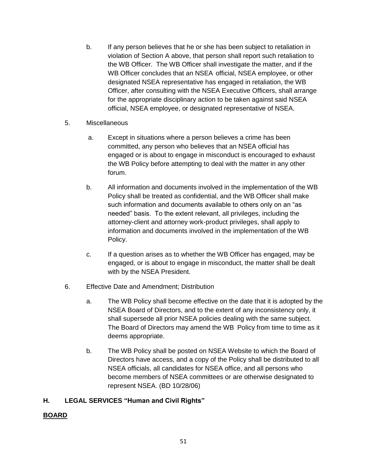- b. If any person believes that he or she has been subject to retaliation in violation of Section A above, that person shall report such retaliation to the WB Officer. The WB Officer shall investigate the matter, and if the WB Officer concludes that an NSEA official, NSEA employee, or other designated NSEA representative has engaged in retaliation, the WB Officer, after consulting with the NSEA Executive Officers, shall arrange for the appropriate disciplinary action to be taken against said NSEA official, NSEA employee, or designated representative of NSEA.
- 5. Miscellaneous
	- a. Except in situations where a person believes a crime has been committed, any person who believes that an NSEA official has engaged or is about to engage in misconduct is encouraged to exhaust the WB Policy before attempting to deal with the matter in any other forum.
	- b. All information and documents involved in the implementation of the WB Policy shall be treated as confidential, and the WB Officer shall make such information and documents available to others only on an "as needed" basis. To the extent relevant, all privileges, including the attorney-client and attorney work-product privileges, shall apply to information and documents involved in the implementation of the WB Policy.
	- c. If a question arises as to whether the WB Officer has engaged, may be engaged, or is about to engage in misconduct, the matter shall be dealt with by the NSEA President.
- 6. Effective Date and Amendment; Distribution
	- a. The WB Policy shall become effective on the date that it is adopted by the NSEA Board of Directors, and to the extent of any inconsistency only, it shall supersede all prior NSEA policies dealing with the same subject. The Board of Directors may amend the WB Policy from time to time as it deems appropriate.
	- b. The WB Policy shall be posted on NSEA Website to which the Board of Directors have access, and a copy of the Policy shall be distributed to all NSEA officials, all candidates for NSEA office, and all persons who become members of NSEA committees or are otherwise designated to represent NSEA. (BD 10/28/06)

# **H. LEGAL SERVICES "Human and Civil Rights"**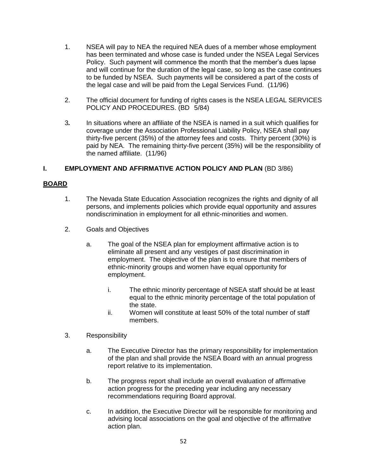- 1. NSEA will pay to NEA the required NEA dues of a member whose employment has been terminated and whose case is funded under the NSEA Legal Services Policy. Such payment will commence the month that the member's dues lapse and will continue for the duration of the legal case, so long as the case continues to be funded by NSEA. Such payments will be considered a part of the costs of the legal case and will be paid from the Legal Services Fund. (11/96)
- 2. The official document for funding of rights cases is the NSEA LEGAL SERVICES POLICY AND PROCEDURES. (BD 5/84)
- 3*.* In situations where an affiliate of the NSEA is named in a suit which qualifies for coverage under the Association Professional Liability Policy, NSEA shall pay thirty-five percent (35%) of the attorney fees and costs. Thirty percent (30%) is paid by NEA. The remaining thirty-five percent (35%) will be the responsibility of the named affiliate. (11/96)

## **I. EMPLOYMENT AND AFFIRMATIVE ACTION POLICY AND PLAN** (BD 3/86)

- 1. The Nevada State Education Association recognizes the rights and dignity of all persons, and implements policies which provide equal opportunity and assures nondiscrimination in employment for all ethnic-minorities and women.
- 2. Goals and Objectives
	- a. The goal of the NSEA plan for employment affirmative action is to eliminate all present and any vestiges of past discrimination in employment. The objective of the plan is to ensure that members of ethnic-minority groups and women have equal opportunity for employment.
		- i. The ethnic minority percentage of NSEA staff should be at least equal to the ethnic minority percentage of the total population of the state.
		- ii. Women will constitute at least 50% of the total number of staff members.
- 3. Responsibility
	- a. The Executive Director has the primary responsibility for implementation of the plan and shall provide the NSEA Board with an annual progress report relative to its implementation.
	- b. The progress report shall include an overall evaluation of affirmative action progress for the preceding year including any necessary recommendations requiring Board approval.
	- c. In addition, the Executive Director will be responsible for monitoring and advising local associations on the goal and objective of the affirmative action plan.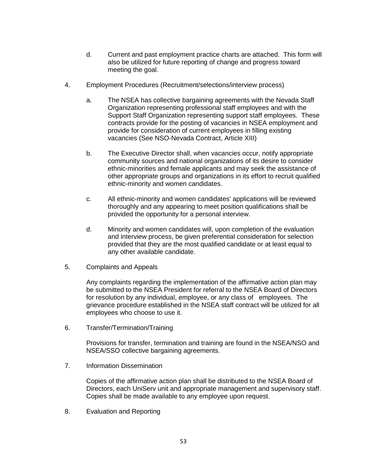- d. Current and past employment practice charts are attached. This form will also be utilized for future reporting of change and progress toward meeting the goal.
- 4. Employment Procedures (Recruitment/selections/interview process)
	- a. The NSEA has collective bargaining agreements with the Nevada Staff Organization representing professional staff employees and with the Support Staff Organization representing support staff employees. These contracts provide for the posting of vacancies in NSEA employment and provide for consideration of current employees in filling existing vacancies (See NSO-Nevada Contract, Article XIII)
	- b. The Executive Director shall, when vacancies occur, notify appropriate community sources and national organizations of its desire to consider ethnic-minorities and female applicants and may seek the assistance of other appropriate groups and organizations in its effort to recruit qualified ethnic-minority and women candidates.
	- c. All ethnic-minority and women candidates' applications will be reviewed thoroughly and any appearing to meet position qualifications shall be provided the opportunity for a personal interview.
	- d. Minority and women candidates will, upon completion of the evaluation and interview process, be given preferential consideration for selection provided that they are the most qualified candidate or at least equal to any other available candidate.
- 5. Complaints and Appeals

Any complaints regarding the implementation of the affirmative action plan may be submitted to the NSEA President for referral to the NSEA Board of Directors for resolution by any individual, employee, or any class of employees. The grievance procedure established in the NSEA staff contract will be utilized for all employees who choose to use it.

6. Transfer/Termination/Training

Provisions for transfer, termination and training are found in the NSEA/NSO and NSEA/SSO collective bargaining agreements.

7. Information Dissemination

Copies of the affirmative action plan shall be distributed to the NSEA Board of Directors, each UniServ unit and appropriate management and supervisory staff. Copies shall be made available to any employee upon request.

8. Evaluation and Reporting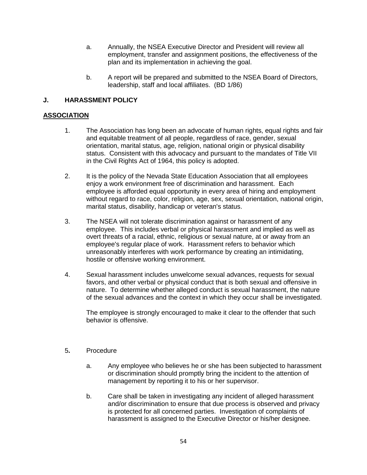- a. Annually, the NSEA Executive Director and President will review all employment, transfer and assignment positions, the effectiveness of the plan and its implementation in achieving the goal.
- b. A report will be prepared and submitted to the NSEA Board of Directors, leadership, staff and local affiliates. (BD 1/86)

# **J. HARASSMENT POLICY**

#### **ASSOCIATION**

- 1. The Association has long been an advocate of human rights, equal rights and fair and equitable treatment of all people, regardless of race, gender, sexual orientation, marital status, age, religion, national origin or physical disability status. Consistent with this advocacy and pursuant to the mandates of Title VII in the Civil Rights Act of 1964, this policy is adopted.
- 2. It is the policy of the Nevada State Education Association that all employees enjoy a work environment free of discrimination and harassment. Each employee is afforded equal opportunity in every area of hiring and employment without regard to race, color, religion, age, sex, sexual orientation, national origin, marital status, disability, handicap or veteran's status.
- 3. The NSEA will not tolerate discrimination against or harassment of any employee. This includes verbal or physical harassment and implied as well as overt threats of a racial, ethnic, religious or sexual nature, at or away from an employee's regular place of work. Harassment refers to behavior which unreasonably interferes with work performance by creating an intimidating, hostile or offensive working environment.
- 4. Sexual harassment includes unwelcome sexual advances, requests for sexual favors, and other verbal or physical conduct that is both sexual and offensive in nature. To determine whether alleged conduct is sexual harassment, the nature of the sexual advances and the context in which they occur shall be investigated.

The employee is strongly encouraged to make it clear to the offender that such behavior is offensive.

#### 5**.** Procedure

- a. Any employee who believes he or she has been subjected to harassment or discrimination should promptly bring the incident to the attention of management by reporting it to his or her supervisor.
- b. Care shall be taken in investigating any incident of alleged harassment and/or discrimination to ensure that due process is observed and privacy is protected for all concerned parties. Investigation of complaints of harassment is assigned to the Executive Director or his/her designee.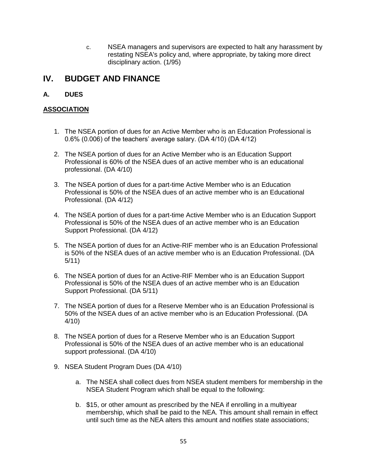c. NSEA managers and supervisors are expected to halt any harassment by restating NSEA's policy and, where appropriate, by taking more direct disciplinary action. (1/95)

# **IV. BUDGET AND FINANCE**

# **A. DUES**

# **ASSOCIATION**

- 1. The NSEA portion of dues for an Active Member who is an Education Professional is 0.6% (0.006) of the teachers' average salary. (DA 4/10) (DA 4/12)
- 2. The NSEA portion of dues for an Active Member who is an Education Support Professional is 60% of the NSEA dues of an active member who is an educational professional. (DA 4/10)
- 3. The NSEA portion of dues for a part-time Active Member who is an Education Professional is 50% of the NSEA dues of an active member who is an Educational Professional. (DA 4/12)
- 4. The NSEA portion of dues for a part-time Active Member who is an Education Support Professional is 50% of the NSEA dues of an active member who is an Education Support Professional. (DA 4/12)
- 5. The NSEA portion of dues for an Active-RIF member who is an Education Professional is 50% of the NSEA dues of an active member who is an Education Professional. (DA 5/11)
- 6. The NSEA portion of dues for an Active-RIF Member who is an Education Support Professional is 50% of the NSEA dues of an active member who is an Education Support Professional. (DA 5/11)
- 7. The NSEA portion of dues for a Reserve Member who is an Education Professional is 50% of the NSEA dues of an active member who is an Education Professional. (DA 4/10)
- 8. The NSEA portion of dues for a Reserve Member who is an Education Support Professional is 50% of the NSEA dues of an active member who is an educational support professional. (DA 4/10)
- 9. NSEA Student Program Dues (DA 4/10)
	- a. The NSEA shall collect dues from NSEA student members for membership in the NSEA Student Program which shall be equal to the following:
	- b. \$15, or other amount as prescribed by the NEA if enrolling in a multiyear membership, which shall be paid to the NEA. This amount shall remain in effect until such time as the NEA alters this amount and notifies state associations;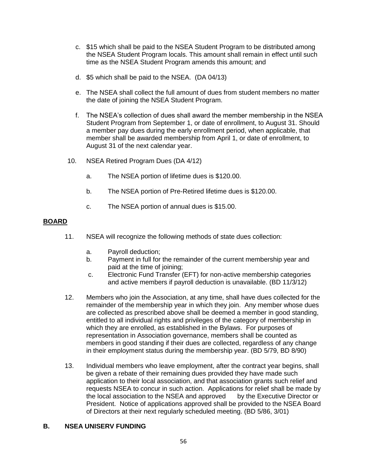- c. \$15 which shall be paid to the NSEA Student Program to be distributed among the NSEA Student Program locals. This amount shall remain in effect until such time as the NSEA Student Program amends this amount; and
- d. \$5 which shall be paid to the NSEA. (DA 04/13)
- e. The NSEA shall collect the full amount of dues from student members no matter the date of joining the NSEA Student Program.
- f. The NSEA's collection of dues shall award the member membership in the NSEA Student Program from September 1, or date of enrollment, to August 31. Should a member pay dues during the early enrollment period, when applicable, that member shall be awarded membership from April 1, or date of enrollment, to August 31 of the next calendar year.
- 10. NSEA Retired Program Dues (DA 4/12)
	- a. The NSEA portion of lifetime dues is \$120.00.
	- b. The NSEA portion of Pre-Retired lifetime dues is \$120.00.
	- c. The NSEA portion of annual dues is \$15.00.

#### **BOARD**

- 11. NSEA will recognize the following methods of state dues collection:
	- a. Payroll deduction;
	- b. Payment in full for the remainder of the current membership year and paid at the time of joining;
	- c. Electronic Fund Transfer (EFT) for non-active membership categories and active members if payroll deduction is unavailable. (BD 11/3/12)
- 12. Members who join the Association, at any time, shall have dues collected for the remainder of the membership year in which they join. Any member whose dues are collected as prescribed above shall be deemed a member in good standing, entitled to all individual rights and privileges of the category of membership in which they are enrolled, as established in the Bylaws. For purposes of representation in Association governance, members shall be counted as members in good standing if their dues are collected, regardless of any change in their employment status during the membership year. (BD 5/79, BD 8/90)
- 13. Individual members who leave employment, after the contract year begins, shall be given a rebate of their remaining dues provided they have made such application to their local association, and that association grants such relief and requests NSEA to concur in such action. Applications for relief shall be made by the local association to the NSEA and approved by the Executive Director or President. Notice of applications approved shall be provided to the NSEA Board of Directors at their next regularly scheduled meeting. (BD 5/86, 3/01)

#### **B. NSEA UNISERV FUNDING**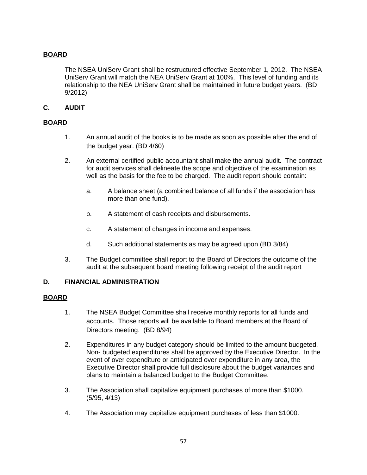# **BOARD**

The NSEA UniServ Grant shall be restructured effective September 1, 2012. The NSEA UniServ Grant will match the NEA UniServ Grant at 100%. This level of funding and its relationship to the NEA UniServ Grant shall be maintained in future budget years. (BD 9/2012)

## **C. AUDIT**

#### **BOARD**

- 1. An annual audit of the books is to be made as soon as possible after the end of the budget year. (BD 4/60)
- 2. An external certified public accountant shall make the annual audit. The contract for audit services shall delineate the scope and objective of the examination as well as the basis for the fee to be charged. The audit report should contain:
	- a. A balance sheet (a combined balance of all funds if the association has more than one fund).
	- b. A statement of cash receipts and disbursements.
	- c. A statement of changes in income and expenses.
	- d. Such additional statements as may be agreed upon (BD 3/84)
- 3. The Budget committee shall report to the Board of Directors the outcome of the audit at the subsequent board meeting following receipt of the audit report

#### **D. FINANCIAL ADMINISTRATION**

- 1. The NSEA Budget Committee shall receive monthly reports for all funds and accounts. Those reports will be available to Board members at the Board of Directors meeting. (BD 8/94)
- 2. Expenditures in any budget category should be limited to the amount budgeted. Non- budgeted expenditures shall be approved by the Executive Director. In the event of over expenditure or anticipated over expenditure in any area, the Executive Director shall provide full disclosure about the budget variances and plans to maintain a balanced budget to the Budget Committee.
- 3. The Association shall capitalize equipment purchases of more than \$1000. (5/95, 4/13)
- 4. The Association may capitalize equipment purchases of less than \$1000.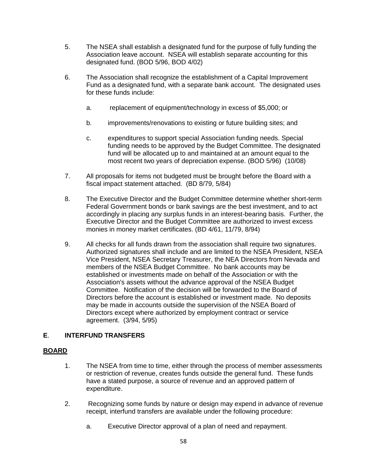- 5. The NSEA shall establish a designated fund for the purpose of fully funding the Association leave account. NSEA will establish separate accounting for this designated fund. (BOD 5/96, BOD 4/02)
- 6. The Association shall recognize the establishment of a Capital Improvement Fund as a designated fund, with a separate bank account. The designated uses for these funds include:
	- a. replacement of equipment/technology in excess of \$5,000; or
	- b. improvements/renovations to existing or future building sites; and
	- c. expenditures to support special Association funding needs. Special funding needs to be approved by the Budget Committee. The designated fund will be allocated up to and maintained at an amount equal to the most recent two years of depreciation expense. (BOD 5/96) (10/08)
- 7. All proposals for items not budgeted must be brought before the Board with a fiscal impact statement attached. (BD 8/79, 5/84)
- 8. The Executive Director and the Budget Committee determine whether short-term Federal Government bonds or bank savings are the best investment, and to act accordingly in placing any surplus funds in an interest-bearing basis. Further, the Executive Director and the Budget Committee are authorized to invest excess monies in money market certificates. (BD 4/61, 11/79, 8/94)
- 9. All checks for all funds drawn from the association shall require two signatures. Authorized signatures shall include and are limited to the NSEA President, NSEA Vice President, NSEA Secretary Treasurer, the NEA Directors from Nevada and members of the NSEA Budget Committee. No bank accounts may be established or investments made on behalf of the Association or with the Association's assets without the advance approval of the NSEA Budget Committee. Notification of the decision will be forwarded to the Board of Directors before the account is established or investment made. No deposits may be made in accounts outside the supervision of the NSEA Board of Directors except where authorized by employment contract or service agreement. (3/94, 5/95)

#### **E**. **INTERFUND TRANSFERS**

- 1. The NSEA from time to time, either through the process of member assessments or restriction of revenue, creates funds outside the general fund. These funds have a stated purpose, a source of revenue and an approved pattern of expenditure.
- 2. Recognizing some funds by nature or design may expend in advance of revenue receipt, interfund transfers are available under the following procedure:
	- a. Executive Director approval of a plan of need and repayment.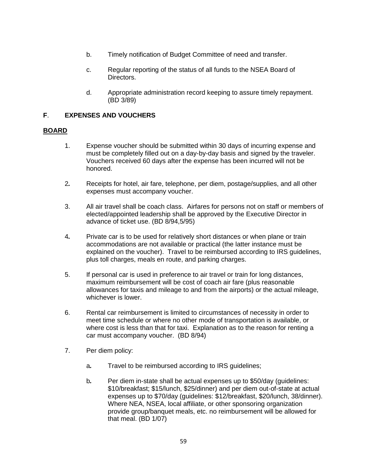- b. Timely notification of Budget Committee of need and transfer.
- c. Regular reporting of the status of all funds to the NSEA Board of Directors.
- d. Appropriate administration record keeping to assure timely repayment. (BD 3/89)

## **F**. **EXPENSES AND VOUCHERS**

- 1. Expense voucher should be submitted within 30 days of incurring expense and must be completely filled out on a day-by-day basis and signed by the traveler. Vouchers received 60 days after the expense has been incurred will not be honored.
- 2*.* Receipts for hotel, air fare, telephone, per diem, postage/supplies, and all other expenses must accompany voucher.
- 3. All air travel shall be coach class. Airfares for persons not on staff or members of elected/appointed leadership shall be approved by the Executive Director in advance of ticket use. (BD 8/94,5/95)
- 4*.* Private car is to be used for relatively short distances or when plane or train accommodations are not available or practical (the latter instance must be explained on the voucher). Travel to be reimbursed according to IRS guidelines, plus toll charges, meals en route, and parking charges.
- 5. If personal car is used in preference to air travel or train for long distances, maximum reimbursement will be cost of coach air fare (plus reasonable allowances for taxis and mileage to and from the airports) or the actual mileage, whichever is lower.
- 6. Rental car reimbursement is limited to circumstances of necessity in order to meet time schedule or where no other mode of transportation is available, or where cost is less than that for taxi. Explanation as to the reason for renting a car must accompany voucher. (BD 8/94)
- 7. Per diem policy:
	- a*.* Travel to be reimbursed according to IRS guidelines;
	- b*.* Per diem in-state shall be actual expenses up to \$50/day (guidelines: \$10/breakfast; \$15/lunch, \$25/dinner) and per diem out-of-state at actual expenses up to \$70/day (guidelines: \$12/breakfast, \$20/lunch, 38/dinner). Where NEA, NSEA, local affiliate, or other sponsoring organization provide group/banquet meals, etc. no reimbursement will be allowed for that meal. (BD 1/07)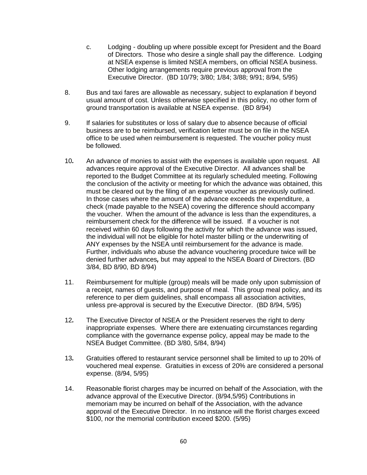- c. Lodging doubling up where possible except for President and the Board of Directors. Those who desire a single shall pay the difference. Lodging at NSEA expense is limited NSEA members, on official NSEA business. Other lodging arrangements require previous approval from the Executive Director. (BD 10/79; 3/80; 1/84; 3/88; 9/91; 8/94, 5/95)
- 8. Bus and taxi fares are allowable as necessary, subject to explanation if beyond usual amount of cost. Unless otherwise specified in this policy, no other form of ground transportation is available at NSEA expense. (BD 8/94)
- 9. If salaries for substitutes or loss of salary due to absence because of official business are to be reimbursed, verification letter must be on file in the NSEA office to be used when reimbursement is requested. The voucher policy must be followed.
- 10*.* An advance of monies to assist with the expenses is available upon request. All advances require approval of the Executive Director. All advances shall be reported to the Budget Committee at its regularly scheduled meeting. Following the conclusion of the activity or meeting for which the advance was obtained, this must be cleared out by the filing of an expense voucher as previously outlined. In those cases where the amount of the advance exceeds the expenditure, a check (made payable to the NSEA) covering the difference should accompany the voucher. When the amount of the advance is less than the expenditures, a reimbursement check for the difference will be issued. If a voucher is not received within 60 days following the activity for which the advance was issued, the individual will not be eligible for hotel master billing or the underwriting of ANY expenses by the NSEA until reimbursement for the advance is made. Further, individuals who abuse the advance vouchering procedure twice will be denied further advances*,* but may appeal to the NSEA Board of Directors. (BD 3/84, BD 8/90, BD 8/94)
- 11. Reimbursement for multiple (group) meals will be made only upon submission of a receipt, names of guests, and purpose of meal. This group meal policy, and its reference to per diem guidelines, shall encompass all association activities, unless pre-approval is secured by the Executive Director. (BD 8/94, 5/95)
- 12*.* The Executive Director of NSEA or the President reserves the right to deny inappropriate expenses. Where there are extenuating circumstances regarding compliance with the governance expense policy, appeal may be made to the NSEA Budget Committee. (BD 3/80, 5/84, 8/94)
- 13*.* Gratuities offered to restaurant service personnel shall be limited to up to 20% of vouchered meal expense. Gratuities in excess of 20% are considered a personal expense. (8/94, 5/95)
- 14. Reasonable florist charges may be incurred on behalf of the Association, with the advance approval of the Executive Director. (8/94,5/95) Contributions in memoriam may be incurred on behalf of the Association, with the advance approval of the Executive Director. In no instance will the florist charges exceed \$100, nor the memorial contribution exceed \$200. (5/95)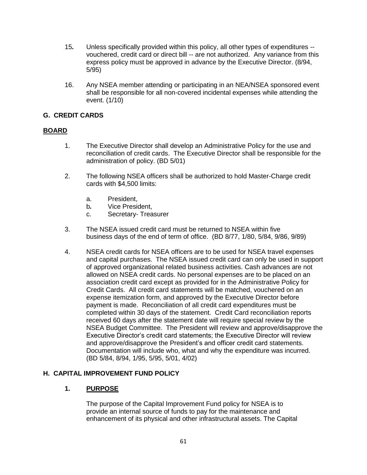- 15*.* Unless specifically provided within this policy, all other types of expenditures vouchered, credit card or direct bill -- are not authorized. Any variance from this express policy must be approved in advance by the Executive Director. (8/94, 5/95)
- 16. Any NSEA member attending or participating in an NEA/NSEA sponsored event shall be responsible for all non-covered incidental expenses while attending the event. (1/10)

## **G. CREDIT CARDS**

## **BOARD**

- 1. The Executive Director shall develop an Administrative Policy for the use and reconciliation of credit cards. The Executive Director shall be responsible for the administration of policy. (BD 5/01)
- 2. The following NSEA officers shall be authorized to hold Master-Charge credit cards with \$4,500 limits:
	- a. President,
	- b*.* Vice President,
	- c. Secretary- Treasurer
- 3. The NSEA issued credit card must be returned to NSEA within five business days of the end of term of office. (BD 8/77, 1/80, 5/84, 9/86, 9/89)
- 4. NSEA credit cards for NSEA officers are to be used for NSEA travel expenses and capital purchases. The NSEA issued credit card can only be used in support of approved organizational related business activities. Cash advances are not allowed on NSEA credit cards. No personal expenses are to be placed on an association credit card except as provided for in the Administrative Policy for Credit Cards. All credit card statements will be matched, vouchered on an expense itemization form, and approved by the Executive Director before payment is made. Reconciliation of all credit card expenditures must be completed within 30 days of the statement. Credit Card reconciliation reports received 60 days after the statement date will require special review by the NSEA Budget Committee. The President will review and approve/disapprove the Executive Director's credit card statements; the Executive Director will review and approve/disapprove the President's and officer credit card statements. Documentation will include who, what and why the expenditure was incurred. (BD 5/84, 8/94, 1/95, 5/95, 5/01, 4/02)

#### **H. CAPITAL IMPROVEMENT FUND POLICY**

#### **1. PURPOSE**

The purpose of the Capital Improvement Fund policy for NSEA is to provide an internal source of funds to pay for the maintenance and enhancement of its physical and other infrastructural assets. The Capital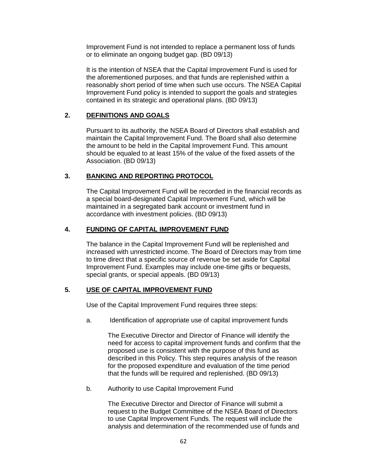Improvement Fund is not intended to replace a permanent loss of funds or to eliminate an ongoing budget gap. (BD 09/13)

It is the intention of NSEA that the Capital Improvement Fund is used for the aforementioned purposes, and that funds are replenished within a reasonably short period of time when such use occurs. The NSEA Capital Improvement Fund policy is intended to support the goals and strategies contained in its strategic and operational plans. (BD 09/13)

# **2. DEFINITIONS AND GOALS**

Pursuant to its authority, the NSEA Board of Directors shall establish and maintain the Capital Improvement Fund. The Board shall also determine the amount to be held in the Capital Improvement Fund. This amount should be equaled to at least 15% of the value of the fixed assets of the Association. (BD 09/13)

# **3. BANKING AND REPORTING PROTOCOL**

The Capital Improvement Fund will be recorded in the financial records as a special board-designated Capital Improvement Fund, which will be maintained in a segregated bank account or investment fund in accordance with investment policies. (BD 09/13)

## **4. FUNDING OF CAPITAL IMPROVEMENT FUND**

The balance in the Capital Improvement Fund will be replenished and increased with unrestricted income. The Board of Directors may from time to time direct that a specific source of revenue be set aside for Capital Improvement Fund. Examples may include one-time gifts or bequests, special grants, or special appeals. (BD 09/13)

#### **5. USE OF CAPITAL IMPROVEMENT FUND**

Use of the Capital Improvement Fund requires three steps:

a. Identification of appropriate use of capital improvement funds

The Executive Director and Director of Finance will identify the need for access to capital improvement funds and confirm that the proposed use is consistent with the purpose of this fund as described in this Policy. This step requires analysis of the reason for the proposed expenditure and evaluation of the time period that the funds will be required and replenished. (BD 09/13)

b. Authority to use Capital Improvement Fund

The Executive Director and Director of Finance will submit a request to the Budget Committee of the NSEA Board of Directors to use Capital Improvement Funds. The request will include the analysis and determination of the recommended use of funds and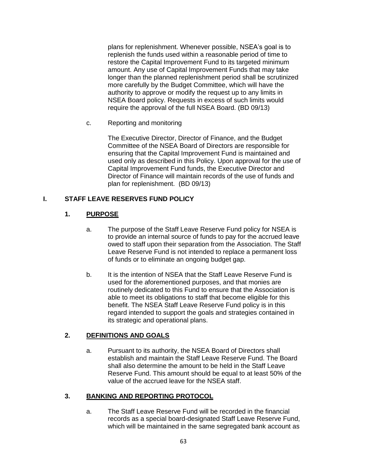plans for replenishment. Whenever possible, NSEA's goal is to replenish the funds used within a reasonable period of time to restore the Capital Improvement Fund to its targeted minimum amount. Any use of Capital Improvement Funds that may take longer than the planned replenishment period shall be scrutinized more carefully by the Budget Committee, which will have the authority to approve or modify the request up to any limits in NSEA Board policy. Requests in excess of such limits would require the approval of the full NSEA Board. (BD 09/13)

c. Reporting and monitoring

The Executive Director, Director of Finance, and the Budget Committee of the NSEA Board of Directors are responsible for ensuring that the Capital Improvement Fund is maintained and used only as described in this Policy. Upon approval for the use of Capital Improvement Fund funds, the Executive Director and Director of Finance will maintain records of the use of funds and plan for replenishment. (BD 09/13)

## **I. STAFF LEAVE RESERVES FUND POLICY**

# **1. PURPOSE**

- a. The purpose of the Staff Leave Reserve Fund policy for NSEA is to provide an internal source of funds to pay for the accrued leave owed to staff upon their separation from the Association. The Staff Leave Reserve Fund is not intended to replace a permanent loss of funds or to eliminate an ongoing budget gap.
- b. It is the intention of NSEA that the Staff Leave Reserve Fund is used for the aforementioned purposes, and that monies are routinely dedicated to this Fund to ensure that the Association is able to meet its obligations to staff that become eligible for this benefit. The NSEA Staff Leave Reserve Fund policy is in this regard intended to support the goals and strategies contained in its strategic and operational plans.

# **2. DEFINITIONS AND GOALS**

a. Pursuant to its authority, the NSEA Board of Directors shall establish and maintain the Staff Leave Reserve Fund. The Board shall also determine the amount to be held in the Staff Leave Reserve Fund. This amount should be equal to at least 50% of the value of the accrued leave for the NSEA staff.

#### **3. BANKING AND REPORTING PROTOCOL**

a. The Staff Leave Reserve Fund will be recorded in the financial records as a special board-designated Staff Leave Reserve Fund, which will be maintained in the same segregated bank account as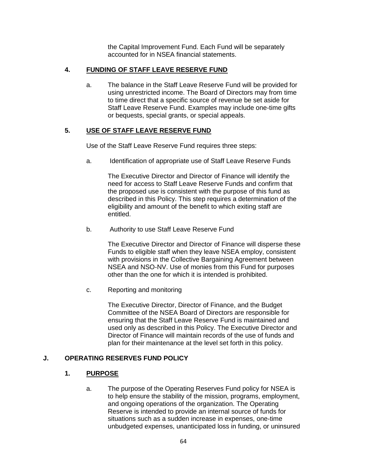the Capital Improvement Fund. Each Fund will be separately accounted for in NSEA financial statements.

## **4. FUNDING OF STAFF LEAVE RESERVE FUND**

a. The balance in the Staff Leave Reserve Fund will be provided for using unrestricted income. The Board of Directors may from time to time direct that a specific source of revenue be set aside for Staff Leave Reserve Fund. Examples may include one-time gifts or bequests, special grants, or special appeals.

# **5. USE OF STAFF LEAVE RESERVE FUND**

Use of the Staff Leave Reserve Fund requires three steps:

a. Identification of appropriate use of Staff Leave Reserve Funds

The Executive Director and Director of Finance will identify the need for access to Staff Leave Reserve Funds and confirm that the proposed use is consistent with the purpose of this fund as described in this Policy. This step requires a determination of the eligibility and amount of the benefit to which exiting staff are entitled.

b. Authority to use Staff Leave Reserve Fund

The Executive Director and Director of Finance will disperse these Funds to eligible staff when they leave NSEA employ, consistent with provisions in the Collective Bargaining Agreement between NSEA and NSO-NV. Use of monies from this Fund for purposes other than the one for which it is intended is prohibited.

c. Reporting and monitoring

The Executive Director, Director of Finance, and the Budget Committee of the NSEA Board of Directors are responsible for ensuring that the Staff Leave Reserve Fund is maintained and used only as described in this Policy. The Executive Director and Director of Finance will maintain records of the use of funds and plan for their maintenance at the level set forth in this policy.

#### **J. OPERATING RESERVES FUND POLICY**

#### **1. PURPOSE**

a. The purpose of the Operating Reserves Fund policy for NSEA is to help ensure the stability of the mission, programs, employment, and ongoing operations of the organization. The Operating Reserve is intended to provide an internal source of funds for situations such as a sudden increase in expenses, one-time unbudgeted expenses, unanticipated loss in funding, or uninsured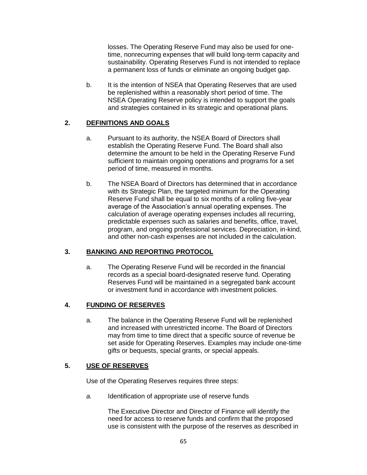losses. The Operating Reserve Fund may also be used for onetime, nonrecurring expenses that will build long-term capacity and sustainability. Operating Reserves Fund is not intended to replace a permanent loss of funds or eliminate an ongoing budget gap.

b. It is the intention of NSEA that Operating Reserves that are used be replenished within a reasonably short period of time. The NSEA Operating Reserve policy is intended to support the goals and strategies contained in its strategic and operational plans.

## **2. DEFINITIONS AND GOALS**

- a. Pursuant to its authority, the NSEA Board of Directors shall establish the Operating Reserve Fund. The Board shall also determine the amount to be held in the Operating Reserve Fund sufficient to maintain ongoing operations and programs for a set period of time, measured in months.
- b. The NSEA Board of Directors has determined that in accordance with its Strategic Plan, the targeted minimum for the Operating Reserve Fund shall be equal to six months of a rolling five-year average of the Association's annual operating expenses. The calculation of average operating expenses includes all recurring, predictable expenses such as salaries and benefits, office, travel, program, and ongoing professional services. Depreciation, in-kind, and other non-cash expenses are not included in the calculation.

# **3. BANKING AND REPORTING PROTOCOL**

a. The Operating Reserve Fund will be recorded in the financial records as a special board-designated reserve fund. Operating Reserves Fund will be maintained in a segregated bank account or investment fund in accordance with investment policies.

# **4. FUNDING OF RESERVES**

a. The balance in the Operating Reserve Fund will be replenished and increased with unrestricted income. The Board of Directors may from time to time direct that a specific source of revenue be set aside for Operating Reserves. Examples may include one-time gifts or bequests, special grants, or special appeals.

# **5. USE OF RESERVES**

Use of the Operating Reserves requires three steps:

*a.* Identification of appropriate use of reserve funds

The Executive Director and Director of Finance will identify the need for access to reserve funds and confirm that the proposed use is consistent with the purpose of the reserves as described in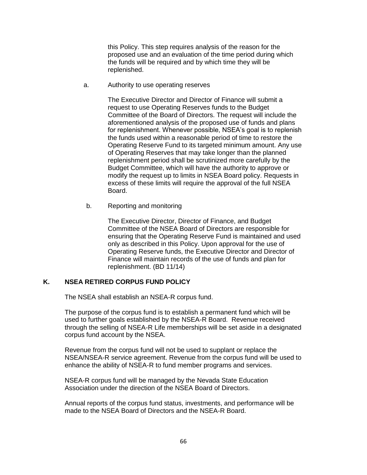this Policy. This step requires analysis of the reason for the proposed use and an evaluation of the time period during which the funds will be required and by which time they will be replenished.

a. Authority to use operating reserves

The Executive Director and Director of Finance will submit a request to use Operating Reserves funds to the Budget Committee of the Board of Directors. The request will include the aforementioned analysis of the proposed use of funds and plans for replenishment. Whenever possible, NSEA's goal is to replenish the funds used within a reasonable period of time to restore the Operating Reserve Fund to its targeted minimum amount. Any use of Operating Reserves that may take longer than the planned replenishment period shall be scrutinized more carefully by the Budget Committee, which will have the authority to approve or modify the request up to limits in NSEA Board policy. Requests in excess of these limits will require the approval of the full NSEA Board.

b. Reporting and monitoring

The Executive Director, Director of Finance, and Budget Committee of the NSEA Board of Directors are responsible for ensuring that the Operating Reserve Fund is maintained and used only as described in this Policy. Upon approval for the use of Operating Reserve funds, the Executive Director and Director of Finance will maintain records of the use of funds and plan for replenishment. (BD 11/14)

#### **K. NSEA RETIRED CORPUS FUND POLICY**

The NSEA shall establish an NSEA-R corpus fund.

The purpose of the corpus fund is to establish a permanent fund which will be used to further goals established by the NSEA-R Board. Revenue received through the selling of NSEA-R Life memberships will be set aside in a designated corpus fund account by the NSEA.

Revenue from the corpus fund will not be used to supplant or replace the NSEA/NSEA-R service agreement. Revenue from the corpus fund will be used to enhance the ability of NSEA-R to fund member programs and services.

NSEA-R corpus fund will be managed by the Nevada State Education Association under the direction of the NSEA Board of Directors.

Annual reports of the corpus fund status, investments, and performance will be made to the NSEA Board of Directors and the NSEA-R Board.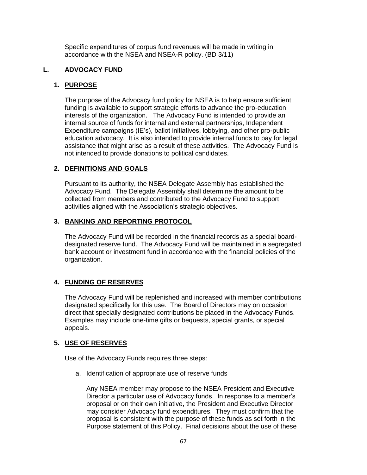Specific expenditures of corpus fund revenues will be made in writing in accordance with the NSEA and NSEA-R policy. (BD 3/11)

#### **L. ADVOCACY FUND**

## **1. PURPOSE**

The purpose of the Advocacy fund policy for NSEA is to help ensure sufficient funding is available to support strategic efforts to advance the pro-education interests of the organization. The Advocacy Fund is intended to provide an internal source of funds for internal and external partnerships, Independent Expenditure campaigns (IE's), ballot initiatives, lobbying, and other pro-public education advocacy. It is also intended to provide internal funds to pay for legal assistance that might arise as a result of these activities. The Advocacy Fund is not intended to provide donations to political candidates.

## **2. DEFINITIONS AND GOALS**

Pursuant to its authority, the NSEA Delegate Assembly has established the Advocacy Fund. The Delegate Assembly shall determine the amount to be collected from members and contributed to the Advocacy Fund to support activities aligned with the Association's strategic objectives.

#### **3. BANKING AND REPORTING PROTOCOL**

The Advocacy Fund will be recorded in the financial records as a special boarddesignated reserve fund. The Advocacy Fund will be maintained in a segregated bank account or investment fund in accordance with the financial policies of the organization.

# **4. FUNDING OF RESERVES**

The Advocacy Fund will be replenished and increased with member contributions designated specifically for this use. The Board of Directors may on occasion direct that specially designated contributions be placed in the Advocacy Funds. Examples may include one-time gifts or bequests, special grants, or special appeals.

# **5. USE OF RESERVES**

Use of the Advocacy Funds requires three steps:

a. Identification of appropriate use of reserve funds

Any NSEA member may propose to the NSEA President and Executive Director a particular use of Advocacy funds. In response to a member's proposal or on their own initiative, the President and Executive Director may consider Advocacy fund expenditures. They must confirm that the proposal is consistent with the purpose of these funds as set forth in the Purpose statement of this Policy. Final decisions about the use of these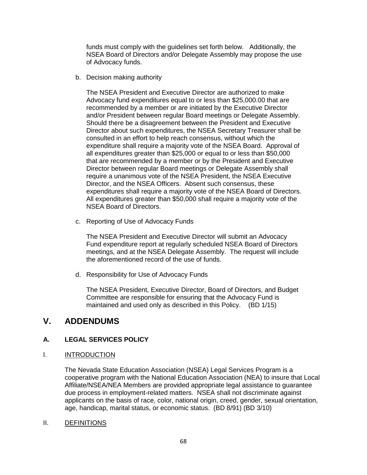funds must comply with the guidelines set forth below. Additionally, the NSEA Board of Directors and/or Delegate Assembly may propose the use of Advocacy funds.

b. Decision making authority

The NSEA President and Executive Director are authorized to make Advocacy fund expenditures equal to or less than \$25,000.00 that are recommended by a member or are initiated by the Executive Director and/or President between regular Board meetings or Delegate Assembly. Should there be a disagreement between the President and Executive Director about such expenditures, the NSEA Secretary Treasurer shall be consulted in an effort to help reach consensus, without which the expenditure shall require a majority vote of the NSEA Board. Approval of all expenditures greater than \$25,000 or equal to or less than \$50,000 that are recommended by a member or by the President and Executive Director between regular Board meetings or Delegate Assembly shall require a unanimous vote of the NSEA President, the NSEA Executive Director, and the NSEA Officers. Absent such consensus, these expenditures shall require a majority vote of the NSEA Board of Directors. All expenditures greater than \$50,000 shall require a majority vote of the NSEA Board of Directors.

c. Reporting of Use of Advocacy Funds

The NSEA President and Executive Director will submit an Advocacy Fund expenditure report at regularly scheduled NSEA Board of Directors meetings, and at the NSEA Delegate Assembly. The request will include the aforementioned record of the use of funds.

d. Responsibility for Use of Advocacy Funds

The NSEA President, Executive Director, Board of Directors, and Budget Committee are responsible for ensuring that the Advocacy Fund is maintained and used only as described in this Policy. (BD 1/15)

# **V. ADDENDUMS**

# **A. LEGAL SERVICES POLICY**

I. INTRODUCTION

The Nevada State Education Association (NSEA) Legal Services Program is a cooperative program with the National Education Association (NEA) to insure that Local Affiliate/NSEA/NEA Members are provided appropriate legal assistance to guarantee due process in employment-related matters. NSEA shall not discriminate against applicants on the basis of race, color, national origin, creed, gender, sexual orientation, age, handicap, marital status, or economic status. (BD 8/91) (BD 3/10)

II. DEFINITIONS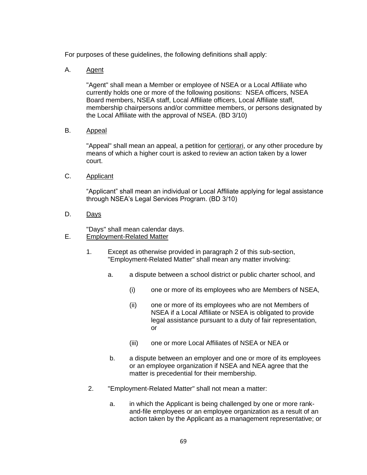For purposes of these guidelines, the following definitions shall apply:

A. Agent

"Agent" shall mean a Member or employee of NSEA or a Local Affiliate who currently holds one or more of the following positions: NSEA officers, NSEA Board members, NSEA staff, Local Affiliate officers, Local Affiliate staff, membership chairpersons and/or committee members, or persons designated by the Local Affiliate with the approval of NSEA. (BD 3/10)

B. Appeal

"Appeal" shall mean an appeal, a petition for certiorari, or any other procedure by means of which a higher court is asked to review an action taken by a lower court.

C. Applicant

"Applicant" shall mean an individual or Local Affiliate applying for legal assistance through NSEA's Legal Services Program. (BD 3/10)

D. Days

"Days" shall mean calendar days. E. Employment-Related Matter

- 1. Except as otherwise provided in paragraph 2 of this sub-section, "Employment-Related Matter" shall mean any matter involving:
	- a. a dispute between a school district or public charter school, and
		- (i) one or more of its employees who are Members of NSEA,
		- (ii) one or more of its employees who are not Members of NSEA if a Local Affiliate or NSEA is obligated to provide legal assistance pursuant to a duty of fair representation, or
		- (iii) one or more Local Affiliates of NSEA or NEA or
	- b. a dispute between an employer and one or more of its employees or an employee organization if NSEA and NEA agree that the matter is precedential for their membership.
- 2. "Employment-Related Matter" shall not mean a matter:
	- a. in which the Applicant is being challenged by one or more rankand-file employees or an employee organization as a result of an action taken by the Applicant as a management representative; or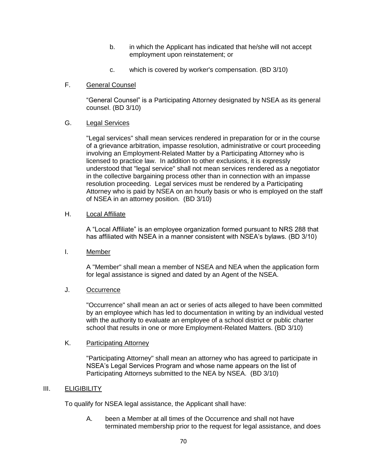- b. in which the Applicant has indicated that he/she will not accept employment upon reinstatement; or
- c. which is covered by worker's compensation. (BD 3/10)
- F. General Counsel

"General Counsel" is a Participating Attorney designated by NSEA as its general counsel. (BD 3/10)

G. Legal Services

"Legal services" shall mean services rendered in preparation for or in the course of a grievance arbitration, impasse resolution, administrative or court proceeding involving an Employment-Related Matter by a Participating Attorney who is licensed to practice law. In addition to other exclusions, it is expressly understood that "legal service" shall not mean services rendered as a negotiator in the collective bargaining process other than in connection with an impasse resolution proceeding. Legal services must be rendered by a Participating Attorney who is paid by NSEA on an hourly basis or who is employed on the staff of NSEA in an attorney position. (BD 3/10)

#### H. **Local Affiliate**

A "Local Affiliate" is an employee organization formed pursuant to NRS 288 that has affiliated with NSEA in a manner consistent with NSEA's bylaws. (BD 3/10)

I. Member

A "Member" shall mean a member of NSEA and NEA when the application form for legal assistance is signed and dated by an Agent of the NSEA.

#### J. Occurrence

"Occurrence" shall mean an act or series of acts alleged to have been committed by an employee which has led to documentation in writing by an individual vested with the authority to evaluate an employee of a school district or public charter school that results in one or more Employment-Related Matters. (BD 3/10)

#### K. Participating Attorney

"Participating Attorney" shall mean an attorney who has agreed to participate in NSEA's Legal Services Program and whose name appears on the list of Participating Attorneys submitted to the NEA by NSEA. (BD 3/10)

#### III. ELIGIBILITY

To qualify for NSEA legal assistance, the Applicant shall have:

A. been a Member at all times of the Occurrence and shall not have terminated membership prior to the request for legal assistance, and does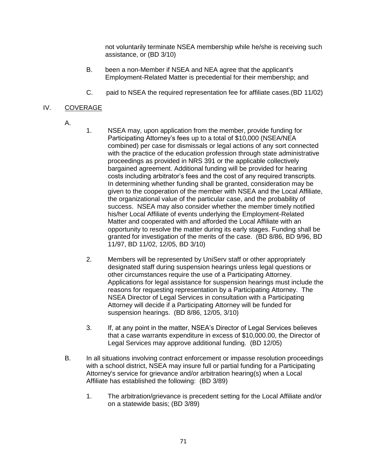not voluntarily terminate NSEA membership while he/she is receiving such assistance, or (BD 3/10)

- B. been a non-Member if NSEA and NEA agree that the applicant's Employment-Related Matter is precedential for their membership; and
- C. paid to NSEA the required representation fee for affiliate cases.(BD 11/02)

## IV. COVERAGE

- A.
- 1. NSEA may, upon application from the member, provide funding for Participating Attorney's fees up to a total of \$10,000 (NSEA/NEA combined) per case for dismissals or legal actions of any sort connected with the practice of the education profession through state administrative proceedings as provided in NRS 391 or the applicable collectively bargained agreement. Additional funding will be provided for hearing costs including arbitrator's fees and the cost of any required transcripts*.* In determining whether funding shall be granted, consideration may be given to the cooperation of the member with NSEA and the Local Affiliate, the organizational value of the particular case, and the probability of success. NSEA may also consider whether the member timely notified his/her Local Affiliate of events underlying the Employment-Related Matter and cooperated with and afforded the Local Affiliate with an opportunity to resolve the matter during its early stages. Funding shall be granted for investigation of the merits of the case. (BD 8/86, BD 9/96, BD 11/97, BD 11/02, 12/05, BD 3/10)
- 2. Members will be represented by UniServ staff or other appropriately designated staff during suspension hearings unless legal questions or other circumstances require the use of a Participating Attorney. Applications for legal assistance for suspension hearings must include the reasons for requesting representation by a Participating Attorney. The NSEA Director of Legal Services in consultation with a Participating Attorney will decide if a Participating Attorney will be funded for suspension hearings. (BD 8/86, 12/05, 3/10)
- 3. If, at any point in the matter, NSEA's Director of Legal Services believes that a case warrants expenditure in excess of \$10,000.00, the Director of Legal Services may approve additional funding. (BD 12/05)
- B. In all situations involving contract enforcement or impasse resolution proceedings with a school district, NSEA may insure full or partial funding for a Participating Attorney's service for grievance and/or arbitration hearing(s) when a Local Affiliate has established the following: (BD 3/89)
	- 1. The arbitration/grievance is precedent setting for the Local Affiliate and/or on a statewide basis; (BD 3/89)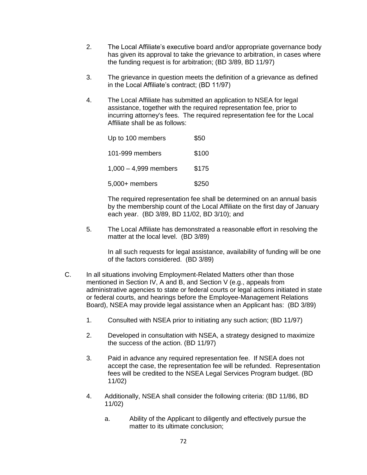- 2. The Local Affiliate's executive board and/or appropriate governance body has given its approval to take the grievance to arbitration, in cases where the funding request is for arbitration; (BD 3/89, BD 11/97)
- 3. The grievance in question meets the definition of a grievance as defined in the Local Affiliate's contract; (BD 11/97)
- 4. The Local Affiliate has submitted an application to NSEA for legal assistance, together with the required representation fee, prior to incurring attorney's fees. The required representation fee for the Local Affiliate shall be as follows:

| Up to 100 members       | \$50  |
|-------------------------|-------|
| 101-999 members         | \$100 |
| $1.000 - 4.999$ members | \$175 |
| $5,000+$ members        | \$250 |

The required representation fee shall be determined on an annual basis by the membership count of the Local Affiliate on the first day of January each year. (BD 3/89, BD 11/02, BD 3/10); and

5. The Local Affiliate has demonstrated a reasonable effort in resolving the matter at the local level. (BD 3/89)

In all such requests for legal assistance, availability of funding will be one of the factors considered. (BD 3/89)

- C. In all situations involving Employment-Related Matters other than those mentioned in Section IV, A and B, and Section V (e.g., appeals from administrative agencies to state or federal courts or legal actions initiated in state or federal courts, and hearings before the Employee-Management Relations Board), NSEA may provide legal assistance when an Applicant has: (BD 3/89)
	- 1. Consulted with NSEA prior to initiating any such action; (BD 11/97)
	- 2. Developed in consultation with NSEA, a strategy designed to maximize the success of the action. (BD 11/97)
	- 3. Paid in advance any required representation fee. If NSEA does not accept the case, the representation fee will be refunded. Representation fees will be credited to the NSEA Legal Services Program budget. (BD 11/02)
	- 4. Additionally, NSEA shall consider the following criteria: (BD 11/86, BD 11/02)
		- a. Ability of the Applicant to diligently and effectively pursue the matter to its ultimate conclusion;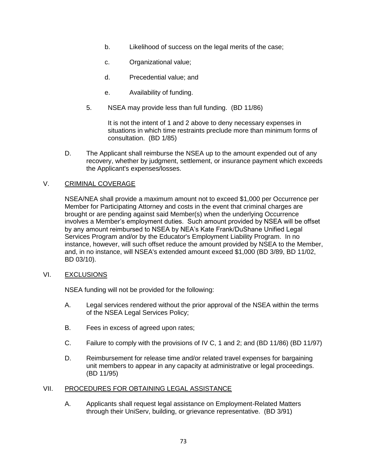- b. Likelihood of success on the legal merits of the case;
- c. Organizational value;
- d. Precedential value; and
- e. Availability of funding.
- 5. NSEA may provide less than full funding. (BD 11/86)

It is not the intent of 1 and 2 above to deny necessary expenses in situations in which time restraints preclude more than minimum forms of consultation. (BD 1/85)

D. The Applicant shall reimburse the NSEA up to the amount expended out of any recovery, whether by judgment, settlement, or insurance payment which exceeds the Applicant's expenses/losses.

## V. CRIMINAL COVERAGE

NSEA/NEA shall provide a maximum amount not to exceed \$1,000 per Occurrence per Member for Participating Attorney and costs in the event that criminal charges are brought or are pending against said Member(s) when the underlying Occurrence involves a Member's employment duties. Such amount provided by NSEA will be offset by any amount reimbursed to NSEA by NEA's Kate Frank/DuShane Unified Legal Services Program and/or by the Educator's Employment Liability Program. In no instance, however, will such offset reduce the amount provided by NSEA to the Member, and, in no instance, will NSEA's extended amount exceed \$1,000 (BD 3/89, BD 11/02, BD 03/10).

## VI. EXCLUSIONS

NSEA funding will not be provided for the following:

- A. Legal services rendered without the prior approval of the NSEA within the terms of the NSEA Legal Services Policy;
- B. Fees in excess of agreed upon rates;
- C. Failure to comply with the provisions of IV C, 1 and 2; and (BD 11/86) (BD 11/97)
- D. Reimbursement for release time and/or related travel expenses for bargaining unit members to appear in any capacity at administrative or legal proceedings. (BD 11/95)

### VII. PROCEDURES FOR OBTAINING LEGAL ASSISTANCE

A. Applicants shall request legal assistance on Employment-Related Matters through their UniServ, building, or grievance representative. (BD 3/91)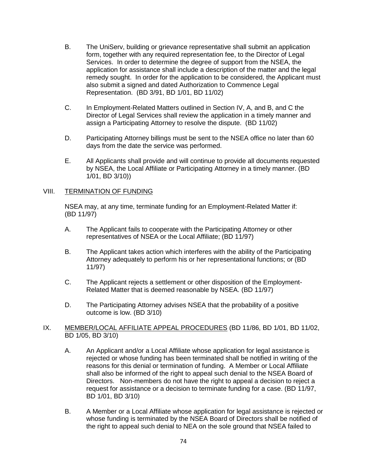- B. The UniServ, building or grievance representative shall submit an application form, together with any required representation fee, to the Director of Legal Services. In order to determine the degree of support from the NSEA, the application for assistance shall include a description of the matter and the legal remedy sought. In order for the application to be considered, the Applicant must also submit a signed and dated Authorization to Commence Legal Representation. (BD 3/91, BD 1/01, BD 11/02)
- C. In Employment-Related Matters outlined in Section IV, A, and B, and C the Director of Legal Services shall review the application in a timely manner and assign a Participating Attorney to resolve the dispute. (BD 11/02)
- D. Participating Attorney billings must be sent to the NSEA office no later than 60 days from the date the service was performed.
- E. All Applicants shall provide and will continue to provide all documents requested by NSEA, the Local Affiliate or Participating Attorney in a timely manner. (BD 1/01, BD 3/10))

#### VIII. TERMINATION OF FUNDING

NSEA may, at any time, terminate funding for an Employment-Related Matter if: (BD 11/97)

- A. The Applicant fails to cooperate with the Participating Attorney or other representatives of NSEA or the Local Affiliate; (BD 11/97)
- B. The Applicant takes action which interferes with the ability of the Participating Attorney adequately to perform his or her representational functions; or (BD 11/97)
- C. The Applicant rejects a settlement or other disposition of the Employment-Related Matter that is deemed reasonable by NSEA. (BD 11/97)
- D. The Participating Attorney advises NSEA that the probability of a positive outcome is low. (BD 3/10)

#### IX. MEMBER/LOCAL AFFILIATE APPEAL PROCEDURES (BD 11/86, BD 1/01, BD 11/02, BD 1/05, BD 3/10)

- A. An Applicant and/or a Local Affiliate whose application for legal assistance is rejected or whose funding has been terminated shall be notified in writing of the reasons for this denial or termination of funding. A Member or Local Affiliate shall also be informed of the right to appeal such denial to the NSEA Board of Directors. Non-members do not have the right to appeal a decision to reject a request for assistance or a decision to terminate funding for a case. (BD 11/97, BD 1/01, BD 3/10)
- B. A Member or a Local Affiliate whose application for legal assistance is rejected or whose funding is terminated by the NSEA Board of Directors shall be notified of the right to appeal such denial to NEA on the sole ground that NSEA failed to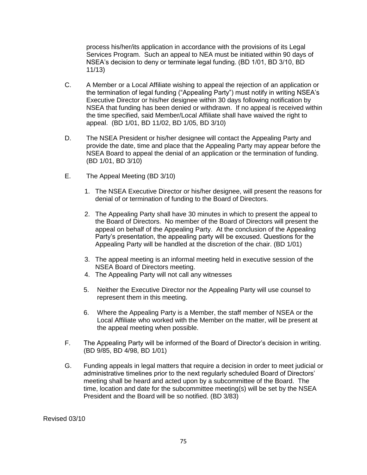process his/her/its application in accordance with the provisions of its Legal Services Program. Such an appeal to NEA must be initiated within 90 days of NSEA's decision to deny or terminate legal funding. (BD 1/01, BD 3/10, BD 11/13)

- C. A Member or a Local Affiliate wishing to appeal the rejection of an application or the termination of legal funding ("Appealing Party") must notify in writing NSEA's Executive Director or his/her designee within 30 days following notification by NSEA that funding has been denied or withdrawn. If no appeal is received within the time specified, said Member/Local Affiliate shall have waived the right to appeal. (BD 1/01, BD 11/02, BD 1/05, BD 3/10)
- D. The NSEA President or his/her designee will contact the Appealing Party and provide the date, time and place that the Appealing Party may appear before the NSEA Board to appeal the denial of an application or the termination of funding. (BD 1/01, BD 3/10)
- E. The Appeal Meeting (BD 3/10)
	- 1. The NSEA Executive Director or his/her designee, will present the reasons for denial of or termination of funding to the Board of Directors.
	- 2. The Appealing Party shall have 30 minutes in which to present the appeal to the Board of Directors. No member of the Board of Directors will present the appeal on behalf of the Appealing Party. At the conclusion of the Appealing Party's presentation, the appealing party will be excused. Questions for the Appealing Party will be handled at the discretion of the chair. (BD 1/01)
	- 3. The appeal meeting is an informal meeting held in executive session of the NSEA Board of Directors meeting.
	- 4. The Appealing Party will not call any witnesses
	- 5. Neither the Executive Director nor the Appealing Party will use counsel to represent them in this meeting.
	- 6. Where the Appealing Party is a Member, the staff member of NSEA or the Local Affiliate who worked with the Member on the matter, will be present at the appeal meeting when possible.
- F. The Appealing Party will be informed of the Board of Director's decision in writing. (BD 9/85, BD 4/98, BD 1/01)
- G. Funding appeals in legal matters that require a decision in order to meet judicial or administrative timelines prior to the next regularly scheduled Board of Directors' meeting shall be heard and acted upon by a subcommittee of the Board. The time, location and date for the subcommittee meeting(s) will be set by the NSEA President and the Board will be so notified. (BD 3/83)

Revised 03/10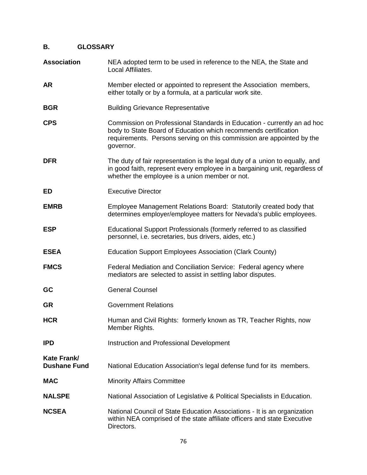# **B. GLOSSARY**

| <b>Association</b>                 | NEA adopted term to be used in reference to the NEA, the State and<br>Local Affiliates.                                                                                                                                          |
|------------------------------------|----------------------------------------------------------------------------------------------------------------------------------------------------------------------------------------------------------------------------------|
| <b>AR</b>                          | Member elected or appointed to represent the Association members,<br>either totally or by a formula, at a particular work site.                                                                                                  |
| <b>BGR</b>                         | <b>Building Grievance Representative</b>                                                                                                                                                                                         |
| <b>CPS</b>                         | Commission on Professional Standards in Education - currently an ad hoc<br>body to State Board of Education which recommends certification<br>requirements. Persons serving on this commission are appointed by the<br>governor. |
| <b>DFR</b>                         | The duty of fair representation is the legal duty of a union to equally, and<br>in good faith, represent every employee in a bargaining unit, regardless of<br>whether the employee is a union member or not.                    |
| ED                                 | <b>Executive Director</b>                                                                                                                                                                                                        |
| <b>EMRB</b>                        | Employee Management Relations Board: Statutorily created body that<br>determines employer/employee matters for Nevada's public employees.                                                                                        |
| <b>ESP</b>                         | Educational Support Professionals (formerly referred to as classified<br>personnel, i.e. secretaries, bus drivers, aides, etc.)                                                                                                  |
| <b>ESEA</b>                        | Education Support Employees Association (Clark County)                                                                                                                                                                           |
| <b>FMCS</b>                        | Federal Mediation and Conciliation Service: Federal agency where<br>mediators are selected to assist in settling labor disputes.                                                                                                 |
| GC                                 | <b>General Counsel</b>                                                                                                                                                                                                           |
| <b>GR</b>                          | <b>Government Relations</b>                                                                                                                                                                                                      |
| <b>HCR</b>                         | Human and Civil Rights: formerly known as TR, Teacher Rights, now<br>Member Rights.                                                                                                                                              |
| <b>IPD</b>                         | Instruction and Professional Development                                                                                                                                                                                         |
| Kate Frank/<br><b>Dushane Fund</b> | National Education Association's legal defense fund for its members.                                                                                                                                                             |
| <b>MAC</b>                         | <b>Minority Affairs Committee</b>                                                                                                                                                                                                |
| <b>NALSPE</b>                      | National Association of Legislative & Political Specialists in Education.                                                                                                                                                        |
| <b>NCSEA</b>                       | National Council of State Education Associations - It is an organization<br>within NEA comprised of the state affiliate officers and state Executive<br>Directors.                                                               |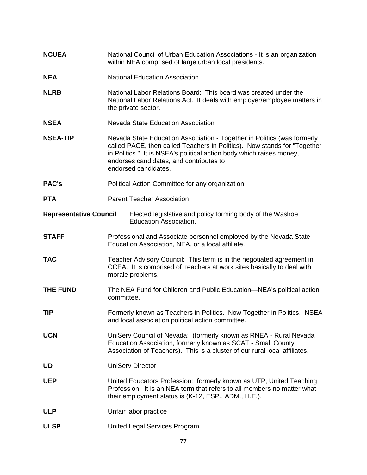| <b>NCUEA</b>                  | National Council of Urban Education Associations - It is an organization<br>within NEA comprised of large urban local presidents.                                                                                                                                                              |
|-------------------------------|------------------------------------------------------------------------------------------------------------------------------------------------------------------------------------------------------------------------------------------------------------------------------------------------|
| <b>NEA</b>                    | <b>National Education Association</b>                                                                                                                                                                                                                                                          |
| <b>NLRB</b>                   | National Labor Relations Board: This board was created under the<br>National Labor Relations Act. It deals with employer/employee matters in<br>the private sector.                                                                                                                            |
| <b>NSEA</b>                   | <b>Nevada State Education Association</b>                                                                                                                                                                                                                                                      |
| <b>NSEA-TIP</b>               | Nevada State Education Association - Together in Politics (was formerly<br>called PACE, then called Teachers in Politics). Now stands for "Together<br>in Politics." It is NSEA's political action body which raises money,<br>endorses candidates, and contributes to<br>endorsed candidates. |
| <b>PAC's</b>                  | Political Action Committee for any organization                                                                                                                                                                                                                                                |
| <b>PTA</b>                    | <b>Parent Teacher Association</b>                                                                                                                                                                                                                                                              |
| <b>Representative Council</b> | Elected legislative and policy forming body of the Washoe<br><b>Education Association.</b>                                                                                                                                                                                                     |
| <b>STAFF</b>                  | Professional and Associate personnel employed by the Nevada State<br>Education Association, NEA, or a local affiliate.                                                                                                                                                                         |
| <b>TAC</b>                    | Teacher Advisory Council: This term is in the negotiated agreement in<br>CCEA. It is comprised of teachers at work sites basically to deal with<br>morale problems.                                                                                                                            |
| THE FUND                      | The NEA Fund for Children and Public Education—NEA's political action<br>committee.                                                                                                                                                                                                            |
| <b>TIP</b>                    | Formerly known as Teachers in Politics. Now Together in Politics. NSEA<br>and local association political action committee.                                                                                                                                                                    |
| <b>UCN</b>                    | UniServ Council of Nevada: (formerly known as RNEA - Rural Nevada<br>Education Association, formerly known as SCAT - Small County<br>Association of Teachers). This is a cluster of our rural local affiliates.                                                                                |
| <b>UD</b>                     | <b>UniServ Director</b>                                                                                                                                                                                                                                                                        |
| <b>UEP</b>                    | United Educators Profession: formerly known as UTP, United Teaching<br>Profession. It is an NEA term that refers to all members no matter what<br>their employment status is (K-12, ESP., ADM., H.E.).                                                                                         |
| <b>ULP</b>                    | Unfair labor practice                                                                                                                                                                                                                                                                          |
| <b>ULSP</b>                   | United Legal Services Program.                                                                                                                                                                                                                                                                 |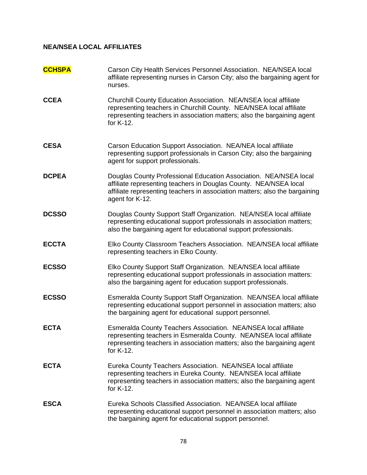## **NEA/NSEA LOCAL AFFILIATES**

| <b>CCHSPA</b> | Carson City Health Services Personnel Association. NEA/NSEA local<br>affiliate representing nurses in Carson City; also the bargaining agent for<br>nurses.                                                                              |
|---------------|------------------------------------------------------------------------------------------------------------------------------------------------------------------------------------------------------------------------------------------|
| <b>CCEA</b>   | Churchill County Education Association. NEA/NSEA local affiliate<br>representing teachers in Churchill County. NEA/NSEA local affiliate<br>representing teachers in association matters; also the bargaining agent<br>for K-12.          |
| <b>CESA</b>   | Carson Education Support Association. NEA/NEA local affiliate<br>representing support professionals in Carson City; also the bargaining<br>agent for support professionals.                                                              |
| <b>DCPEA</b>  | Douglas County Professional Education Association. NEA/NSEA local<br>affiliate representing teachers in Douglas County. NEA/NSEA local<br>affiliate representing teachers in association matters; also the bargaining<br>agent for K-12. |
| <b>DCSSO</b>  | Douglas County Support Staff Organization. NEA/NSEA local affiliate<br>representing educational support professionals in association matters;<br>also the bargaining agent for educational support professionals.                        |
| <b>ECCTA</b>  | Elko County Classroom Teachers Association. NEA/NSEA local affiliate<br>representing teachers in Elko County.                                                                                                                            |
| <b>ECSSO</b>  | Elko County Support Staff Organization. NEA/NSEA local affiliate<br>representing educational support professionals in association matters:<br>also the bargaining agent for education support professionals.                             |
| <b>ECSSO</b>  | Esmeralda County Support Staff Organization. NEA/NSEA local affiliate<br>representing educational support personnel in association matters; also<br>the bargaining agent for educational support personnel.                              |
| <b>ECTA</b>   | Esmeralda County Teachers Association. NEA/NSEA local affiliate<br>representing teachers in Esmeralda County. NEA/NSEA local affiliate<br>representing teachers in association matters; also the bargaining agent<br>for K-12.           |
| <b>ECTA</b>   | Eureka County Teachers Association. NEA/NSEA local affiliate<br>representing teachers in Eureka County. NEA/NSEA local affiliate<br>representing teachers in association matters; also the bargaining agent<br>for K-12.                 |
| <b>ESCA</b>   | Eureka Schools Classified Association. NEA/NSEA local affiliate<br>representing educational support personnel in association matters; also<br>the bargaining agent for educational support personnel.                                    |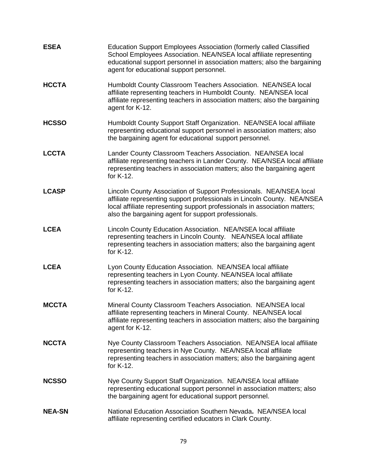| <b>ESEA</b>   | <b>Education Support Employees Association (formerly called Classified</b><br>School Employees Association. NEA/NSEA local affiliate representing<br>educational support personnel in association matters; also the bargaining<br>agent for educational support personnel.            |
|---------------|---------------------------------------------------------------------------------------------------------------------------------------------------------------------------------------------------------------------------------------------------------------------------------------|
| <b>HCCTA</b>  | Humboldt County Classroom Teachers Association. NEA/NSEA local<br>affiliate representing teachers in Humboldt County. NEA/NSEA local<br>affiliate representing teachers in association matters; also the bargaining<br>agent for K-12.                                                |
| <b>HCSSO</b>  | Humboldt County Support Staff Organization. NEA/NSEA local affiliate<br>representing educational support personnel in association matters; also<br>the bargaining agent for educational support personnel.                                                                            |
| <b>LCCTA</b>  | Lander County Classroom Teachers Association. NEA/NSEA local<br>affiliate representing teachers in Lander County. NEA/NSEA local affiliate<br>representing teachers in association matters; also the bargaining agent<br>for K-12.                                                    |
| <b>LCASP</b>  | Lincoln County Association of Support Professionals. NEA/NSEA local<br>affiliate representing support professionals in Lincoln County. NEA/NSEA<br>local affiliate representing support professionals in association matters;<br>also the bargaining agent for support professionals. |
| <b>LCEA</b>   | Lincoln County Education Association. NEA/NSEA local affiliate<br>representing teachers in Lincoln County. NEA/NSEA local affiliate<br>representing teachers in association matters; also the bargaining agent<br>for K-12.                                                           |
| <b>LCEA</b>   | Lyon County Education Association. NEA/NSEA local affiliate<br>representing teachers in Lyon County. NEA/NSEA local affiliate<br>representing teachers in association matters; also the bargaining agent<br>for K-12.                                                                 |
| <b>MCCTA</b>  | Mineral County Classroom Teachers Association. NEA/NSEA local<br>affiliate representing teachers in Mineral County. NEA/NSEA local<br>affiliate representing teachers in association matters; also the bargaining<br>agent for K-12.                                                  |
| <b>NCCTA</b>  | Nye County Classroom Teachers Association. NEA/NSEA local affiliate<br>representing teachers in Nye County. NEA/NSEA local affiliate<br>representing teachers in association matters; also the bargaining agent<br>for K-12.                                                          |
| <b>NCSSO</b>  | Nye County Support Staff Organization. NEA/NSEA local affiliate<br>representing educational support personnel in association matters; also<br>the bargaining agent for educational support personnel.                                                                                 |
| <b>NEA-SN</b> | National Education Association Southern Nevada. NEA/NSEA local<br>affiliate representing certified educators in Clark County.                                                                                                                                                         |